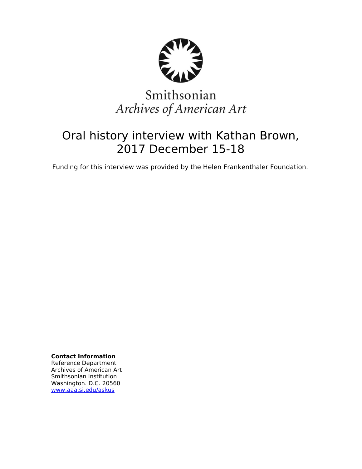

# Smithsonian Archives of American Art

## Oral history interview with Kathan Brown, 2017 December 15-18

Funding for this interview was provided by the Helen Frankenthaler Foundation.

**Contact Information** Reference Department Archives of American Art Smithsonian Institution Washington. D.C. 20560 [www.aaa.si.edu/askus](http://www.aaa.si.edu/askus)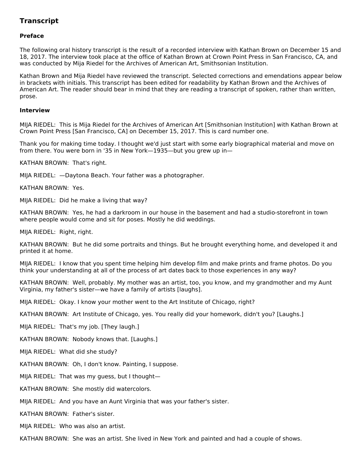### **Transcript**

#### **Preface**

The following oral history transcript is the result of a recorded interview with Kathan Brown on December 15 and 18, 2017. The interview took place at the office of Kathan Brown at Crown Point Press in San Francisco, CA, and was conducted by Mija Riedel for the Archives of American Art, Smithsonian Institution.

Kathan Brown and Mija Riedel have reviewed the transcript. Selected corrections and emendations appear below in brackets with initials. This transcript has been edited for readability by Kathan Brown and the Archives of American Art. The reader should bear in mind that they are reading a transcript of spoken, rather than written, prose.

#### **Interview**

MIJA RIEDEL: This is Mija Riedel for the Archives of American Art [Smithsonian Institution] with Kathan Brown at Crown Point Press [San Francisco, CA] on December 15, 2017. This is card number one.

Thank you for making time today. I thought we'd just start with some early biographical material and move on from there. You were born in '35 in New York—1935—but you grew up in—

KATHAN BROWN: That's right.

MIJA RIEDEL: —Daytona Beach. Your father was a photographer.

KATHAN BROWN: Yes.

MIJA RIEDEL: Did he make a living that way?

KATHAN BROWN: Yes, he had a darkroom in our house in the basement and had a studio-storefront in town where people would come and sit for poses. Mostly he did weddings.

MIJA RIEDEL: Right, right.

KATHAN BROWN: But he did some portraits and things. But he brought everything home, and developed it and printed it at home.

MIJA RIEDEL: I know that you spent time helping him develop film and make prints and frame photos. Do you think your understanding at all of the process of art dates back to those experiences in any way?

KATHAN BROWN: Well, probably. My mother was an artist, too, you know, and my grandmother and my Aunt Virginia, my father's sister—we have a family of artists [laughs].

MIJA RIEDEL: Okay. I know your mother went to the Art Institute of Chicago, right?

KATHAN BROWN: Art Institute of Chicago, yes. You really did your homework, didn't you? [Laughs.]

MIJA RIEDEL: That's my job. [They laugh.]

KATHAN BROWN: Nobody knows that. [Laughs.]

MIJA RIEDEL: What did she study?

KATHAN BROWN: Oh, I don't know. Painting, I suppose.

MIJA RIEDEL: That was my guess, but I thought—

KATHAN BROWN: She mostly did watercolors.

MIJA RIEDEL: And you have an Aunt Virginia that was your father's sister.

KATHAN BROWN: Father's sister.

MIJA RIEDEL: Who was also an artist.

KATHAN BROWN: She was an artist. She lived in New York and painted and had a couple of shows.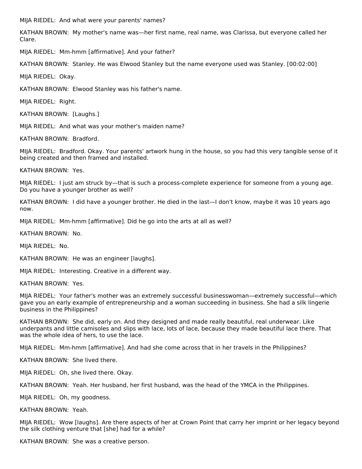MIJA RIEDEL: And what were your parents' names?

KATHAN BROWN: My mother's name was—her first name, real name, was Clarissa, but everyone called her Clare.

MIJA RIEDEL: Mm-hmm [affirmative]. And your father?

KATHAN BROWN: Stanley. He was Elwood Stanley but the name everyone used was Stanley. [00:02:00]

MIJA RIEDEL: Okay.

KATHAN BROWN: Elwood Stanley was his father's name.

MIJA RIEDEL: Right.

KATHAN BROWN: [Laughs.]

MIJA RIEDEL: And what was your mother's maiden name?

KATHAN BROWN: Bradford.

MIJA RIEDEL: Bradford. Okay. Your parents' artwork hung in the house, so you had this very tangible sense of it being created and then framed and installed.

KATHAN BROWN: Yes.

MIJA RIEDEL: I just am struck by—that is such a process-complete experience for someone from a young age. Do you have a younger brother as well?

KATHAN BROWN: I did have a younger brother. He died in the last—I don't know, maybe it was 10 years ago now.

MIJA RIEDEL: Mm-hmm [affirmative]. Did he go into the arts at all as well?

KATHAN BROWN: No.

MIJA RIEDEL: No.

KATHAN BROWN: He was an engineer [laughs].

MIJA RIEDEL: Interesting. Creative in a different way.

KATHAN BROWN: Yes.

MIJA RIEDEL: Your father's mother was an extremely successful businesswoman—extremely successful—which gave you an early example of entrepreneurship and a woman succeeding in business. She had a silk lingerie business in the Philippines?

KATHAN BROWN: She did, early on. And they designed and made really beautiful, real underwear. Like underpants and little camisoles and slips with lace, lots of lace, because they made beautiful lace there. That was the whole idea of hers, to use the lace.

MIJA RIEDEL: Mm-hmm [affirmative]. And had she come across that in her travels in the Philippines?

KATHAN BROWN: She lived there.

MIJA RIEDEL: Oh, she lived there. Okay.

KATHAN BROWN: Yeah. Her husband, her first husband, was the head of the YMCA in the Philippines.

MIJA RIEDEL: Oh, my goodness.

KATHAN BROWN: Yeah.

MIJA RIEDEL: Wow [laughs]. Are there aspects of her at Crown Point that carry her imprint or her legacy beyond the silk clothing venture that [she] had for a while?

KATHAN BROWN: She was a creative person.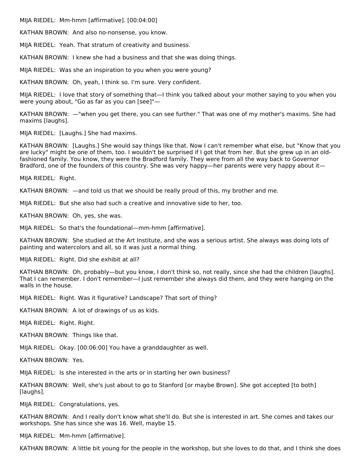MIJA RIEDEL: Mm-hmm [affirmative]. [00:04:00]

KATHAN BROWN: And also no-nonsense, you know.

MIJA RIEDEL: Yeah. That stratum of creativity and business.

KATHAN BROWN: I knew she had a business and that she was doing things.

MIJA RIEDEL: Was she an inspiration to you when you were young?

KATHAN BROWN: Oh, yeah, I think so. I'm sure. Very confident.

MIJA RIEDEL: I love that story of something that—I think you talked about your mother saying to you when you were young about, "Go as far as you can [see]"—

KATHAN BROWN: —"when you get there, you can see further." That was one of my mother's maxims. She had maxims [laughs].

MIJA RIEDEL: [Laughs.] She had maxims.

KATHAN BROWN: [Laughs.] She would say things like that. Now I can't remember what else, but "Know that you are lucky" might be one of them, too. I wouldn't be surprised if I got that from her. But she grew up in an oldfashioned family. You know, they were the Bradford family. They were from all the way back to Governor Bradford, one of the founders of this country. She was very happy—her parents were very happy about it—

MIJA RIEDEL: Right.

KATHAN BROWN: —and told us that we should be really proud of this, my brother and me.

MIJA RIEDEL: But she also had such a creative and innovative side to her, too.

KATHAN BROWN: Oh, yes, she was.

MIJA RIEDEL: So that's the foundational—mm-hmm [affirmative].

KATHAN BROWN: She studied at the Art Institute, and she was a serious artist. She always was doing lots of painting and watercolors and all, so it was just a normal thing.

MIJA RIEDEL: Right. Did she exhibit at all?

KATHAN BROWN: Oh, probably—but you know, I don't think so, not really, since she had the children [laughs]. That I can remember. I don't remember—I just remember she always did them, and they were hanging on the walls in the house.

MIJA RIEDEL: Right. Was it figurative? Landscape? That sort of thing?

KATHAN BROWN: A lot of drawings of us as kids.

MIJA RIEDEL: Right. Right.

KATHAN BROWN: Things like that.

MIJA RIEDEL: Okay. [00:06:00] You have a granddaughter as well.

KATHAN BROWN: Yes.

MIJA RIEDEL: Is she interested in the arts or in starting her own business?

KATHAN BROWN: Well, she's just about to go to Stanford [or maybe Brown]. She got accepted [to both] [laughs].

MIJA RIEDEL: Congratulations, yes.

KATHAN BROWN: And I really don't know what she'll do. But she is interested in art. She comes and takes our workshops. She has since she was 16. Well, maybe 15.

MIJA RIEDEL: Mm-hmm [affirmative].

KATHAN BROWN: A little bit young for the people in the workshop, but she loves to do that, and I think she does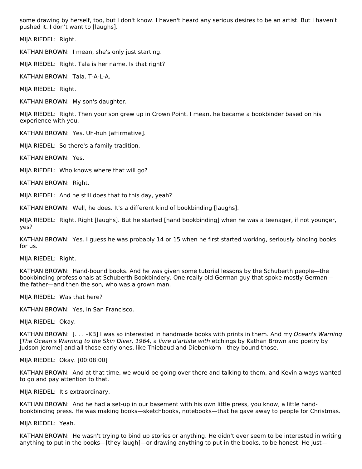some drawing by herself, too, but I don't know. I haven't heard any serious desires to be an artist. But I haven't pushed it. I don't want to [laughs].

MIJA RIEDEL: Right.

KATHAN BROWN: I mean, she's only just starting.

MIJA RIEDEL: Right. Tala is her name. Is that right?

KATHAN BROWN: Tala. T-A-L-A.

MIJA RIEDEL: Right.

KATHAN BROWN: My son's daughter.

MIJA RIEDEL: Right. Then your son grew up in Crown Point. I mean, he became a bookbinder based on his experience with you.

KATHAN BROWN: Yes. Uh-huh [affirmative].

MIJA RIEDEL: So there's a family tradition.

KATHAN BROWN: Yes.

MIJA RIEDEL: Who knows where that will go?

KATHAN BROWN: Right.

MIJA RIEDEL: And he still does that to this day, yeah?

KATHAN BROWN: Well, he does. It's a different kind of bookbinding [laughs].

MIJA RIEDEL: Right. Right [laughs]. But he started [hand bookbinding] when he was a teenager, if not younger, yes?

KATHAN BROWN: Yes. I guess he was probably 14 or 15 when he first started working, seriously binding books for us.

MIJA RIEDEL: Right.

KATHAN BROWN: Hand-bound books. And he was given some tutorial lessons by the Schuberth people—the bookbinding professionals at Schuberth Bookbindery. One really old German guy that spoke mostly German the father—and then the son, who was a grown man.

MIJA RIEDEL: Was that here?

KATHAN BROWN: Yes, in San Francisco.

MIJA RIEDEL: Okay.

KATHAN BROWN: [...-KB] I was so interested in handmade books with prints in them. And my Ocean's Warning [The Ocean's Warning to the Skin Diver, 1964, a livre d'artiste with etchings by Kathan Brown and poetry by Judson Jerome] and all those early ones, like Thiebaud and Diebenkorn—they bound those.

MIJA RIEDEL: Okay. [00:08:00]

KATHAN BROWN: And at that time, we would be going over there and talking to them, and Kevin always wanted to go and pay attention to that.

MIJA RIEDEL: It's extraordinary.

KATHAN BROWN: And he had a set-up in our basement with his own little press, you know, a little handbookbinding press. He was making books—sketchbooks, notebooks—that he gave away to people for Christmas.

MIJA RIEDEL: Yeah.

KATHAN BROWN: He wasn't trying to bind up stories or anything. He didn't ever seem to be interested in writing anything to put in the books—[they laugh]—or drawing anything to put in the books, to be honest. He just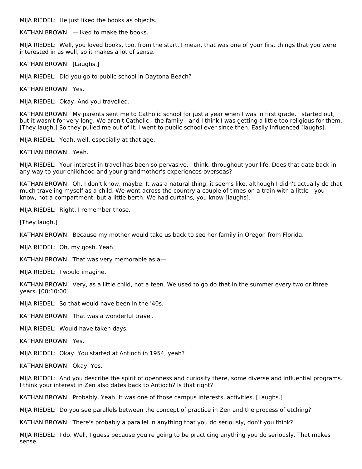MIJA RIEDEL: He just liked the books as objects.

KATHAN BROWN: —liked to make the books.

MIJA RIEDEL: Well, you loved books, too, from the start. I mean, that was one of your first things that you were interested in as well, so it makes a lot of sense.

KATHAN BROWN: [Laughs.]

MIJA RIEDEL: Did you go to public school in Daytona Beach?

KATHAN BROWN: Yes.

MIJA RIEDEL: Okay. And you travelled.

KATHAN BROWN: My parents sent me to Catholic school for just a year when I was in first grade. I started out, but it wasn't for very long. We aren't Catholic—the family—and I think I was getting a little too religious for them. [They laugh.] So they pulled me out of it. I went to public school ever since then. Easily influenced [laughs].

MIJA RIEDEL: Yeah, well, especially at that age.

KATHAN BROWN: Yeah.

MIJA RIEDEL: Your interest in travel has been so pervasive, I think, throughout your life. Does that date back in any way to your childhood and your grandmother's experiences overseas?

KATHAN BROWN: Oh, I don't know, maybe. It was a natural thing, it seems like, although I didn't actually do that much traveling myself as a child. We went across the country a couple of times on a train with a little—you know, not a compartment, but a little berth. We had curtains, you know [laughs].

MIJA RIEDEL: Right. I remember those.

[They laugh.]

KATHAN BROWN: Because my mother would take us back to see her family in Oregon from Florida.

MIJA RIEDEL: Oh, my gosh. Yeah.

KATHAN BROWN: That was very memorable as a—

MIJA RIEDEL: I would imagine.

KATHAN BROWN: Very, as a little child, not a teen. We used to go do that in the summer every two or three years. [00:10:00]

MIJA RIEDEL: So that would have been in the '40s.

KATHAN BROWN: That was a wonderful travel.

MIJA RIEDEL: Would have taken days.

KATHAN BROWN: Yes.

MIJA RIEDEL: Okay. You started at Antioch in 1954, yeah?

KATHAN BROWN: Okay. Yes.

MIJA RIEDEL: And you describe the spirit of openness and curiosity there, some diverse and influential programs. I think your interest in Zen also dates back to Antioch? Is that right?

KATHAN BROWN: Probably. Yeah. It was one of those campus interests, activities. [Laughs.]

MIJA RIEDEL: Do you see parallels between the concept of practice in Zen and the process of etching?

KATHAN BROWN: There's probably a parallel in anything that you do seriously, don't you think?

MIJA RIEDEL: I do. Well, I guess because you're going to be practicing anything you do seriously. That makes sense.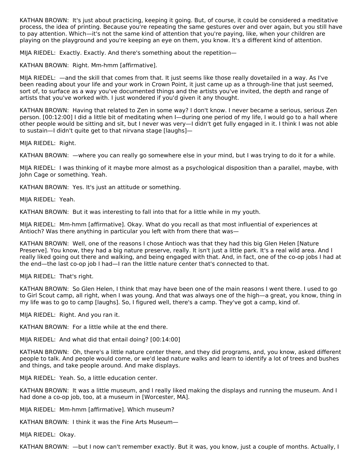KATHAN BROWN: It's just about practicing, keeping it going. But, of course, it could be considered a meditative process, the idea of printing. Because you're repeating the same gestures over and over again, but you still have to pay attention. Which—it's not the same kind of attention that you're paying, like, when your children are playing on the playground and you're keeping an eye on them, you know. It's a different kind of attention.

MIJA RIEDEL: Exactly. Exactly. And there's something about the repetition—

KATHAN BROWN: Right. Mm-hmm [affirmative].

MIJA RIEDEL: —and the skill that comes from that. It just seems like those really dovetailed in a way. As I've been reading about your life and your work in Crown Point, it just came up as a through-line that just seemed, sort of, to surface as a way you've documented things and the artists you've invited, the depth and range of artists that you've worked with. I just wondered if you'd given it any thought.

KATHAN BROWN: Having that related to Zen in some way? I don't know. I never became a serious, serious Zen person. [00:12:00] I did a little bit of meditating when I—during one period of my life, I would go to a hall where other people would be sitting and sit, but I never was very—I didn't get fully engaged in it. I think I was not able to sustain—I didn't quite get to that nirvana stage [laughs]—

MIJA RIEDEL: Right.

KATHAN BROWN: —where you can really go somewhere else in your mind, but I was trying to do it for a while.

MIJA RIEDEL: I was thinking of it maybe more almost as a psychological disposition than a parallel, maybe, with John Cage or something. Yeah.

KATHAN BROWN: Yes. It's just an attitude or something.

MIJA RIEDEL: Yeah.

KATHAN BROWN: But it was interesting to fall into that for a little while in my youth.

MIJA RIEDEL: Mm-hmm [affirmative]. Okay. What do you recall as that most influential of experiences at Antioch? Was there anything in particular you left with from there that was—

KATHAN BROWN: Well, one of the reasons I chose Antioch was that they had this big Glen Helen [Nature Preserve]. You know, they had a big nature preserve, really. It isn't just a little park. It's a real wild area. And I really liked going out there and walking, and being engaged with that. And, in fact, one of the co-op jobs I had at the end—the last co-op job I had—I ran the little nature center that's connected to that.

MIJA RIEDEL: That's right.

KATHAN BROWN: So Glen Helen, I think that may have been one of the main reasons I went there. I used to go to Girl Scout camp, all right, when I was young. And that was always one of the high—a great, you know, thing in my life was to go to camp [laughs]. So, I figured well, there's a camp. They've got a camp, kind of.

MIJA RIEDEL: Right. And you ran it.

KATHAN BROWN: For a little while at the end there.

MIJA RIEDEL: And what did that entail doing? [00:14:00]

KATHAN BROWN: Oh, there's a little nature center there, and they did programs, and, you know, asked different people to talk. And people would come, or we'd lead nature walks and learn to identify a lot of trees and bushes and things, and take people around. And make displays.

MIJA RIEDEL: Yeah. So, a little education center.

KATHAN BROWN: It was a little museum, and I really liked making the displays and running the museum. And I had done a co-op job, too, at a museum in [Worcester, MA].

MIJA RIEDEL: Mm-hmm [affirmative]. Which museum?

KATHAN BROWN: I think it was the Fine Arts Museum—

MIJA RIEDEL: Okay.

KATHAN BROWN: —but I now can't remember exactly. But it was, you know, just a couple of months. Actually, I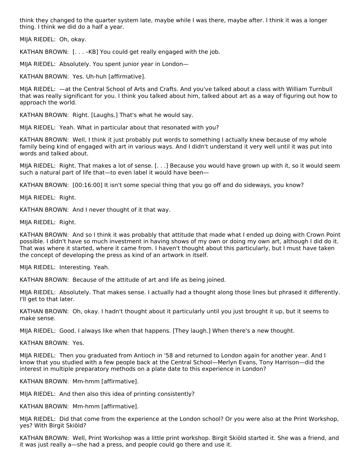think they changed to the quarter system late, maybe while I was there, maybe after. I think it was a longer thing. I think we did do a half a year.

MIJA RIEDEL: Oh, okay.

KATHAN BROWN: [. . . –KB] You could get really engaged with the job.

MIJA RIEDEL: Absolutely. You spent junior year in London—

KATHAN BROWN: Yes. Uh-huh [affirmative].

MIJA RIEDEL: —at the Central School of Arts and Crafts. And you've talked about a class with William Turnbull that was really significant for you. I think you talked about him, talked about art as a way of figuring out how to approach the world.

KATHAN BROWN: Right. [Laughs.] That's what he would say.

MIJA RIEDEL: Yeah. What in particular about that resonated with you?

KATHAN BROWN: Well, I think it just probably put words to something I actually knew because of my whole family being kind of engaged with art in various ways. And I didn't understand it very well until it was put into words and talked about.

MIJA RIEDEL: Right. That makes a lot of sense. [. . .] Because you would have grown up with it, so it would seem such a natural part of life that—to even label it would have been—

KATHAN BROWN: [00:16:00] It isn't some special thing that you go off and do sideways, you know?

MIJA RIEDEL: Right.

KATHAN BROWN: And I never thought of it that way.

MIJA RIEDEL: Right.

KATHAN BROWN: And so I think it was probably that attitude that made what I ended up doing with Crown Point possible. I didn't have so much investment in having shows of my own or doing my own art, although I did do it. That was where it started, where it came from. I haven't thought about this particularly, but I must have taken the concept of developing the press as kind of an artwork in itself.

MIJA RIEDEL: Interesting. Yeah.

KATHAN BROWN: Because of the attitude of art and life as being joined.

MIJA RIEDEL: Absolutely. That makes sense. I actually had a thought along those lines but phrased it differently. I'll get to that later.

KATHAN BROWN: Oh, okay. I hadn't thought about it particularly until you just brought it up, but it seems to make sense.

MIJA RIEDEL: Good. I always like when that happens. [They laugh.] When there's a new thought.

KATHAN BROWN: Yes.

MIJA RIEDEL: Then you graduated from Antioch in '58 and returned to London again for another year. And I know that you studied with a few people back at the Central School—Merlyn Evans, Tony Harrison—did the interest in multiple preparatory methods on a plate date to this experience in London?

KATHAN BROWN: Mm-hmm [affirmative].

MIJA RIEDEL: And then also this idea of printing consistently?

KATHAN BROWN: Mm-hmm [affirmative].

MIJA RIEDEL: Did that come from the experience at the London school? Or you were also at the Print Workshop, yes? With Birgit Skiöld?

KATHAN BROWN: Well, Print Workshop was a little print workshop. Birgit Skiöld started it. She was a friend, and it was just really a—she had a press, and people could go there and use it.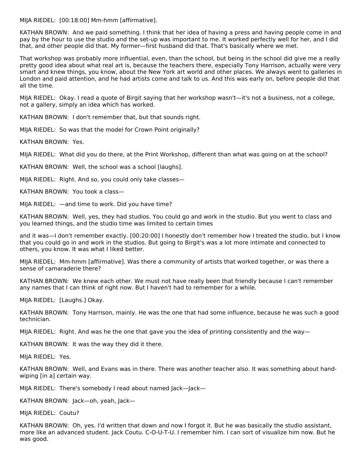MIJA RIEDEL: [00:18:00] Mm-hmm [affirmative].

KATHAN BROWN: And we paid something. I think that her idea of having a press and having people come in and pay by the hour to use the studio and the set-up was important to me. It worked perfectly well for her, and I did that, and other people did that. My former—first husband did that. That's basically where we met.

That workshop was probably more influential, even, than the school, but being in the school did give me a really pretty good idea about what real art is, because the teachers there, especially Tony Harrison, actually were very smart and knew things, you know, about the New York art world and other places. We always went to galleries in London and paid attention, and he had artists come and talk to us. And this was early on, before people did that all the time.

MIJA RIEDEL: Okay. I read a quote of Birgit saying that her workshop wasn't—it's not a business, not a college, not a gallery, simply an idea which has worked.

KATHAN BROWN: I don't remember that, but that sounds right.

MIJA RIEDEL: So was that the model for Crown Point originally?

KATHAN BROWN: Yes.

MIJA RIEDEL: What did you do there, at the Print Workshop, different than what was going on at the school?

KATHAN BROWN: Well, the school was a school [laughs].

MIJA RIEDEL: Right. And so, you could only take classes—

KATHAN BROWN: You took a class—

MIJA RIEDEL: —and time to work. Did you have time?

KATHAN BROWN: Well, yes, they had studios. You could go and work in the studio. But you went to class and you learned things, and the studio time was limited to certain times

and it was—I don't remember exactly. [00:20:00] I honestly don't remember how I treated the studio, but I know that you could go in and work in the studios. But going to Birgit's was a lot more intimate and connected to others, you know. It was what I liked better.

MIJA RIEDEL: Mm-hmm [affirmative]. Was there a community of artists that worked together, or was there a sense of camaraderie there?

KATHAN BROWN: We knew each other. We must not have really been that friendly because I can't remember any names that I can think of right now. But I haven't had to remember for a while.

MIJA RIEDEL: [Laughs.] Okay.

KATHAN BROWN: Tony Harrison, mainly. He was the one that had some influence, because he was such a good technician.

MIJA RIEDEL: Right. And was he the one that gave you the idea of printing consistently and the way—

KATHAN BROWN: It was the way they did it there.

MIJA RIEDEL: Yes.

KATHAN BROWN: Well, and Evans was in there. There was another teacher also. It was something about handwiping [in a] certain way.

MIJA RIEDEL: There's somebody I read about named Jack—Jack—

KATHAN BROWN: Jack—oh, yeah, Jack—

MIJA RIEDEL: Coutu?

KATHAN BROWN: Oh, yes. I'd written that down and now I forgot it. But he was basically the studio assistant, more like an advanced student. Jack Coutu. C-O-U-T-U. I remember him. I can sort of visualize him now. But he was good.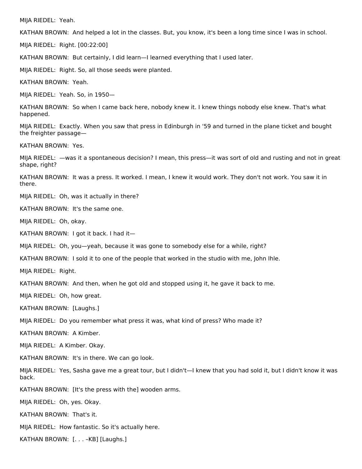MIJA RIEDEL: Yeah.

KATHAN BROWN: And helped a lot in the classes. But, you know, it's been a long time since I was in school.

MIJA RIEDEL: Right. [00:22:00]

KATHAN BROWN: But certainly, I did learn—I learned everything that I used later.

MIJA RIEDEL: Right. So, all those seeds were planted.

KATHAN BROWN: Yeah.

MIJA RIEDEL: Yeah. So, in 1950—

KATHAN BROWN: So when I came back here, nobody knew it. I knew things nobody else knew. That's what happened.

MIJA RIEDEL: Exactly. When you saw that press in Edinburgh in '59 and turned in the plane ticket and bought the freighter passage—

KATHAN BROWN: Yes.

MIJA RIEDEL: —was it a spontaneous decision? I mean, this press—it was sort of old and rusting and not in great shape, right?

KATHAN BROWN: It was a press. It worked. I mean, I knew it would work. They don't not work. You saw it in there.

MIJA RIEDEL: Oh, was it actually in there?

KATHAN BROWN: It's the same one.

MIJA RIEDEL: Oh, okay.

KATHAN BROWN: I got it back. I had it—

MIJA RIEDEL: Oh, you—yeah, because it was gone to somebody else for a while, right?

KATHAN BROWN: I sold it to one of the people that worked in the studio with me, John Ihle.

MIJA RIEDEL: Right.

KATHAN BROWN: And then, when he got old and stopped using it, he gave it back to me.

MIJA RIEDEL: Oh, how great.

KATHAN BROWN: [Laughs.]

MIJA RIEDEL: Do you remember what press it was, what kind of press? Who made it?

KATHAN BROWN: A Kimber.

MIJA RIEDEL: A Kimber. Okay.

KATHAN BROWN: It's in there. We can go look.

MIJA RIEDEL: Yes, Sasha gave me a great tour, but I didn't—I knew that you had sold it, but I didn't know it was back.

KATHAN BROWN: [It's the press with the] wooden arms.

MIJA RIEDEL: Oh, yes. Okay.

KATHAN BROWN: That's it.

MIJA RIEDEL: How fantastic. So it's actually here.

KATHAN BROWN: [. . . –KB] [Laughs.]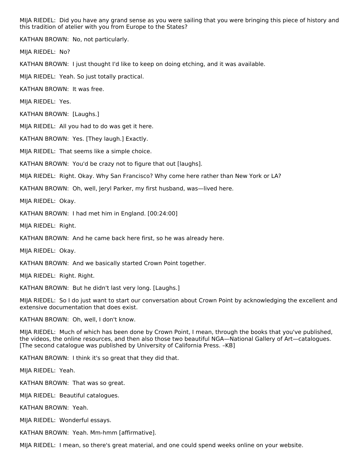MIJA RIEDEL: Did you have any grand sense as you were sailing that you were bringing this piece of history and this tradition of atelier with you from Europe to the States?

KATHAN BROWN: No, not particularly.

MIJA RIEDEL: No?

KATHAN BROWN: I just thought I'd like to keep on doing etching, and it was available.

MIJA RIEDEL: Yeah. So just totally practical.

KATHAN BROWN: It was free.

MIJA RIEDEL: Yes.

KATHAN BROWN: [Laughs.]

MIJA RIEDEL: All you had to do was get it here.

KATHAN BROWN: Yes. [They laugh.] Exactly.

MIJA RIEDEL: That seems like a simple choice.

KATHAN BROWN: You'd be crazy not to figure that out [laughs].

MIJA RIEDEL: Right. Okay. Why San Francisco? Why come here rather than New York or LA?

KATHAN BROWN: Oh, well, Jeryl Parker, my first husband, was—lived here.

MIJA RIEDEL: Okay.

KATHAN BROWN: I had met him in England. [00:24:00]

MIJA RIEDEL: Right.

KATHAN BROWN: And he came back here first, so he was already here.

MIJA RIEDEL: Okay.

KATHAN BROWN: And we basically started Crown Point together.

MIJA RIEDEL: Right. Right.

KATHAN BROWN: But he didn't last very long. [Laughs.]

MIJA RIEDEL: So I do just want to start our conversation about Crown Point by acknowledging the excellent and extensive documentation that does exist.

KATHAN BROWN: Oh, well, I don't know.

MIJA RIEDEL: Much of which has been done by Crown Point, I mean, through the books that you've published, the videos, the online resources, and then also those two beautiful NGA—National Gallery of Art—catalogues. [The second catalogue was published by University of California Press. –KB]

KATHAN BROWN: I think it's so great that they did that.

MIJA RIEDEL: Yeah.

KATHAN BROWN: That was so great.

MIJA RIEDEL: Beautiful catalogues.

KATHAN BROWN: Yeah.

MIJA RIEDEL: Wonderful essays.

KATHAN BROWN: Yeah. Mm-hmm [affirmative].

MIJA RIEDEL: I mean, so there's great material, and one could spend weeks online on your website.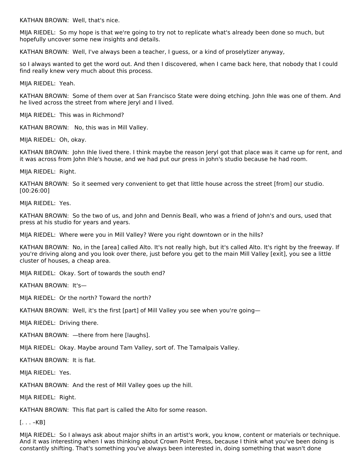KATHAN BROWN: Well, that's nice.

MIJA RIEDEL: So my hope is that we're going to try not to replicate what's already been done so much, but hopefully uncover some new insights and details.

KATHAN BROWN: Well, I've always been a teacher, I guess, or a kind of proselytizer anyway,

so I always wanted to get the word out. And then I discovered, when I came back here, that nobody that I could find really knew very much about this process.

MIJA RIEDEL: Yeah.

KATHAN BROWN: Some of them over at San Francisco State were doing etching. John Ihle was one of them. And he lived across the street from where Jeryl and I lived.

MIJA RIEDEL: This was in Richmond?

KATHAN BROWN: No, this was in Mill Valley.

MIJA RIEDEL: Oh, okay.

KATHAN BROWN: John Ihle lived there. I think maybe the reason Jeryl got that place was it came up for rent, and it was across from John Ihle's house, and we had put our press in John's studio because he had room.

MIJA RIEDEL: Right.

KATHAN BROWN: So it seemed very convenient to get that little house across the street [from] our studio. [00:26:00]

MIJA RIEDEL: Yes.

KATHAN BROWN: So the two of us, and John and Dennis Beall, who was a friend of John's and ours, used that press at his studio for years and years.

MIJA RIEDEL: Where were you in Mill Valley? Were you right downtown or in the hills?

KATHAN BROWN: No, in the [area] called Alto. It's not really high, but it's called Alto. It's right by the freeway. If you're driving along and you look over there, just before you get to the main Mill Valley [exit], you see a little cluster of houses, a cheap area.

MIJA RIEDEL: Okay. Sort of towards the south end?

KATHAN BROWN: It's—

MIJA RIEDEL: Or the north? Toward the north?

KATHAN BROWN: Well, it's the first [part] of Mill Valley you see when you're going—

MIJA RIEDEL: Driving there.

KATHAN BROWN: —there from here [laughs].

MIJA RIEDEL: Okay. Maybe around Tam Valley, sort of. The Tamalpais Valley.

KATHAN BROWN: It is flat.

MIJA RIEDEL: Yes.

KATHAN BROWN: And the rest of Mill Valley goes up the hill.

MIJA RIEDEL: Right.

KATHAN BROWN: This flat part is called the Alto for some reason.

 $[\ldots -KB]$ 

MIJA RIEDEL: So I always ask about major shifts in an artist's work, you know, content or materials or technique. And it was interesting when I was thinking about Crown Point Press, because I think what you've been doing is constantly shifting. That's something you've always been interested in, doing something that wasn't done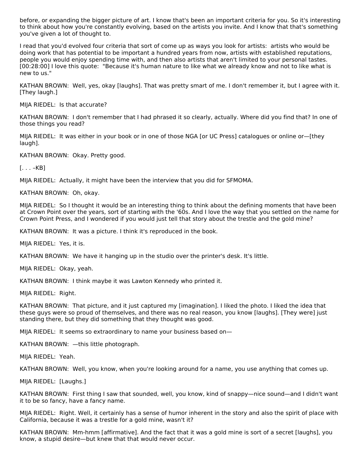before, or expanding the bigger picture of art. I know that's been an important criteria for you. So it's interesting to think about how you're constantly evolving, based on the artists you invite. And I know that that's something you've given a lot of thought to.

I read that you'd evolved four criteria that sort of come up as ways you look for artists: artists who would be doing work that has potential to be important a hundred years from now, artists with established reputations, people you would enjoy spending time with, and then also artists that aren't limited to your personal tastes. [00:28:00] I love this quote: "Because it's human nature to like what we already know and not to like what is new to us."

KATHAN BROWN: Well, yes, okay [laughs]. That was pretty smart of me. I don't remember it, but I agree with it. [They laugh.]

MIJA RIEDEL: Is that accurate?

KATHAN BROWN: I don't remember that I had phrased it so clearly, actually. Where did you find that? In one of those things you read?

MIJA RIEDEL: It was either in your book or in one of those NGA [or UC Press] catalogues or online or—[they laugh].

KATHAN BROWN: Okay. Pretty good.

 $[\ldots -KB]$ 

MIJA RIEDEL: Actually, it might have been the interview that you did for SFMOMA.

KATHAN BROWN: Oh, okay.

MIJA RIEDEL: So I thought it would be an interesting thing to think about the defining moments that have been at Crown Point over the years, sort of starting with the '60s. And I love the way that you settled on the name for Crown Point Press, and I wondered if you would just tell that story about the trestle and the gold mine?

KATHAN BROWN: It was a picture. I think it's reproduced in the book.

MIJA RIEDEL: Yes, it is.

KATHAN BROWN: We have it hanging up in the studio over the printer's desk. It's little.

MIJA RIEDEL: Okay, yeah.

KATHAN BROWN: I think maybe it was Lawton Kennedy who printed it.

MIJA RIEDEL: Right.

KATHAN BROWN: That picture, and it just captured my [imagination]. I liked the photo. I liked the idea that these guys were so proud of themselves, and there was no real reason, you know [laughs]. [They were] just standing there, but they did something that they thought was good.

MIJA RIEDEL: It seems so extraordinary to name your business based on—

KATHAN BROWN: —this little photograph.

MIJA RIEDEL: Yeah.

KATHAN BROWN: Well, you know, when you're looking around for a name, you use anything that comes up.

MIJA RIEDEL: [Laughs.]

KATHAN BROWN: First thing I saw that sounded, well, you know, kind of snappy—nice sound—and I didn't want it to be so fancy, have a fancy name.

MIJA RIEDEL: Right. Well, it certainly has a sense of humor inherent in the story and also the spirit of place with California, because it was a trestle for a gold mine, wasn't it?

KATHAN BROWN: Mm-hmm [affirmative]. And the fact that it was a gold mine is sort of a secret [laughs], you know, a stupid desire—but knew that that would never occur.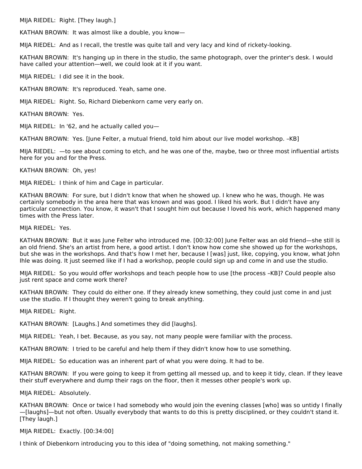MIJA RIEDEL: Right. [They laugh.]

KATHAN BROWN: It was almost like a double, you know—

MIJA RIEDEL: And as I recall, the trestle was quite tall and very lacy and kind of rickety-looking.

KATHAN BROWN: It's hanging up in there in the studio, the same photograph, over the printer's desk. I would have called your attention—well, we could look at it if you want.

MIJA RIEDEL: I did see it in the book.

KATHAN BROWN: It's reproduced. Yeah, same one.

MIJA RIEDEL: Right. So, Richard Diebenkorn came very early on.

KATHAN BROWN: Yes.

MIJA RIEDEL: In '62, and he actually called you—

KATHAN BROWN: Yes. [June Felter, a mutual friend, told him about our live model workshop. –KB]

MIJA RIEDEL: —to see about coming to etch, and he was one of the, maybe, two or three most influential artists here for you and for the Press.

KATHAN BROWN: Oh, yes!

MIJA RIEDEL: I think of him and Cage in particular.

KATHAN BROWN: For sure, but I didn't know that when he showed up. I knew who he was, though. He was certainly somebody in the area here that was known and was good. I liked his work. But I didn't have any particular connection. You know, it wasn't that I sought him out because I loved his work, which happened many times with the Press later.

MIJA RIEDEL: Yes.

KATHAN BROWN: But it was June Felter who introduced me. [00:32:00] June Felter was an old friend—she still is an old friend. She's an artist from here, a good artist. I don't know how come she showed up for the workshops, but she was in the workshops. And that's how I met her, because I [was] just, like, copying, you know, what John Ihle was doing. It just seemed like if I had a workshop, people could sign up and come in and use the studio.

MIJA RIEDEL: So you would offer workshops and teach people how to use [the process –KB]? Could people also just rent space and come work there?

KATHAN BROWN: They could do either one. If they already knew something, they could just come in and just use the studio. If I thought they weren't going to break anything.

MIJA RIEDEL: Right.

KATHAN BROWN: [Laughs.] And sometimes they did [laughs].

MIJA RIEDEL: Yeah, I bet. Because, as you say, not many people were familiar with the process.

KATHAN BROWN: I tried to be careful and help them if they didn't know how to use something.

MIJA RIEDEL: So education was an inherent part of what you were doing. It had to be.

KATHAN BROWN: If you were going to keep it from getting all messed up, and to keep it tidy, clean. If they leave their stuff everywhere and dump their rags on the floor, then it messes other people's work up.

MIJA RIEDEL: Absolutely.

KATHAN BROWN: Once or twice I had somebody who would join the evening classes [who] was so untidy I finally —[laughs]—but not often. Usually everybody that wants to do this is pretty disciplined, or they couldn't stand it. [They laugh.]

MIJA RIEDEL: Exactly. [00:34:00]

I think of Diebenkorn introducing you to this idea of "doing something, not making something."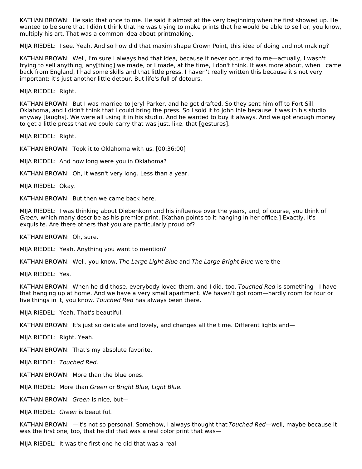KATHAN BROWN: He said that once to me. He said it almost at the very beginning when he first showed up. He wanted to be sure that I didn't think that he was trying to make prints that he would be able to sell or, you know, multiply his art. That was a common idea about printmaking.

MIJA RIEDEL: I see. Yeah. And so how did that maxim shape Crown Point, this idea of doing and not making?

KATHAN BROWN: Well, I'm sure I always had that idea, because it never occurred to me—actually, I wasn't trying to sell anything, any[thing] we made, or I made, at the time, I don't think. It was more about, when I came back from England, I had some skills and that little press. I haven't really written this because it's not very important; it's just another little detour. But life's full of detours.

MIJA RIEDEL: Right.

KATHAN BROWN: But I was married to Jeryl Parker, and he got drafted. So they sent him off to Fort Sill, Oklahoma, and I didn't think that I could bring the press. So I sold it to John Ihle because it was in his studio anyway [laughs]. We were all using it in his studio. And he wanted to buy it always. And we got enough money to get a little press that we could carry that was just, like, that [gestures].

MIJA RIEDEL: Right.

KATHAN BROWN: Took it to Oklahoma with us. [00:36:00]

MIJA RIEDEL: And how long were you in Oklahoma?

KATHAN BROWN: Oh, it wasn't very long. Less than a year.

MIJA RIEDEL: Okay.

KATHAN BROWN: But then we came back here.

MIJA RIEDEL: I was thinking about Diebenkorn and his influence over the years, and, of course, you think of Green, which many describe as his premier print. [Kathan points to it hanging in her office.] Exactly. It's exquisite. Are there others that you are particularly proud of?

KATHAN BROWN: Oh, sure.

MIJA RIEDEL: Yeah. Anything you want to mention?

KATHAN BROWN: Well, you know, The Large Light Blue and The Large Bright Blue were the-

MIJA RIEDEL: Yes.

KATHAN BROWN: When he did those, everybody loved them, and I did, too. Touched Red is something—I have that hanging up at home. And we have a very small apartment. We haven't got room—hardly room for four or five things in it, you know. Touched Red has always been there.

MIJA RIEDEL: Yeah. That's beautiful.

KATHAN BROWN: It's just so delicate and lovely, and changes all the time. Different lights and—

MIJA RIEDEL: Right. Yeah.

KATHAN BROWN: That's my absolute favorite.

MIJA RIEDEL: Touched Red.

KATHAN BROWN: More than the blue ones.

MIJA RIEDEL: More than Green or Bright Blue, Light Blue.

KATHAN BROWN: Green is nice, but—

MIJA RIEDEL: Green is beautiful.

KATHAN BROWN:  $-$ it's not so personal. Somehow, I always thought that Touched Red—well, maybe because it was the first one, too, that he did that was a real color print that was—

MIJA RIEDEL: It was the first one he did that was a real—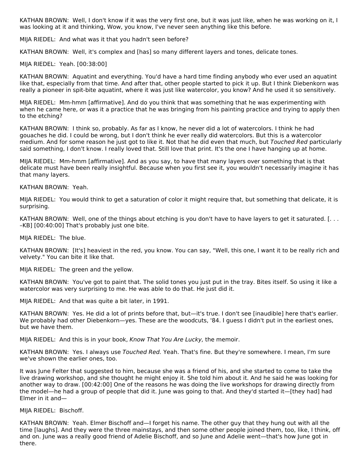KATHAN BROWN: Well, I don't know if it was the very first one, but it was just like, when he was working on it, I was looking at it and thinking, Wow, you know, I've never seen anything like this before.

MIJA RIEDEL: And what was it that you hadn't seen before?

KATHAN BROWN: Well, it's complex and [has] so many different layers and tones, delicate tones.

#### MIJA RIEDEL: Yeah. [00:38:00]

KATHAN BROWN: Aquatint and everything. You'd have a hard time finding anybody who ever used an aquatint like that, especially from that time. And after that, other people started to pick it up. But I think Diebenkorn was really a pioneer in spit-bite aquatint, where it was just like watercolor, you know? And he used it so sensitively.

MIJA RIEDEL: Mm-hmm [affirmative]. And do you think that was something that he was experimenting with when he came here, or was it a practice that he was bringing from his painting practice and trying to apply then to the etching?

KATHAN BROWN: I think so, probably. As far as I know, he never did a lot of watercolors. I think he had gouaches he did. I could be wrong, but I don't think he ever really did watercolors. But this is a watercolor medium. And for some reason he just got to like it. Not that he did even that much, but Touched Red particularly said something, I don't know. I really loved that. Still love that print. It's the one I have hanging up at home.

MIJA RIEDEL: Mm-hmm [affirmative]. And as you say, to have that many layers over something that is that delicate must have been really insightful. Because when you first see it, you wouldn't necessarily imagine it has that many layers.

#### KATHAN BROWN: Yeah.

MIJA RIEDEL: You would think to get a saturation of color it might require that, but something that delicate, it is surprising.

KATHAN BROWN: Well, one of the things about etching is you don't have to have layers to get it saturated. [... –KB] [00:40:00] That's probably just one bite.

MIJA RIEDEL: The blue.

KATHAN BROWN: [It's] heaviest in the red, you know. You can say, "Well, this one, I want it to be really rich and velvety." You can bite it like that.

MIJA RIEDEL: The green and the yellow.

KATHAN BROWN: You've got to paint that. The solid tones you just put in the tray. Bites itself. So using it like a watercolor was very surprising to me. He was able to do that. He just did it.

MIJA RIEDEL: And that was quite a bit later, in 1991.

KATHAN BROWN: Yes. He did a lot of prints before that, but—it's true. I don't see [inaudible] here that's earlier. We probably had other Diebenkorn—yes. These are the woodcuts, '84. I guess I didn't put in the earliest ones, but we have them.

MIJA RIEDEL: And this is in your book, Know That You Are Lucky, the memoir.

KATHAN BROWN: Yes. I always use Touched Red. Yeah. That's fine. But they're somewhere. I mean, I'm sure we've shown the earlier ones, too.

It was June Felter that suggested to him, because she was a friend of his, and she started to come to take the live drawing workshop, and she thought he might enjoy it. She told him about it. And he said he was looking for another way to draw. [00:42:00] One of the reasons he was doing the live workshops for drawing directly from the model—he had a group of people that did it. June was going to that. And they'd started it—[they had] had Elmer in it and—

#### MIJA RIEDEL: Bischoff.

KATHAN BROWN: Yeah. Elmer Bischoff and—I forget his name. The other guy that they hung out with all the time [laughs]. And they were the three mainstays, and then some other people joined them, too, like, I think, off and on. June was a really good friend of Adelie Bischoff, and so June and Adelie went—that's how June got in there.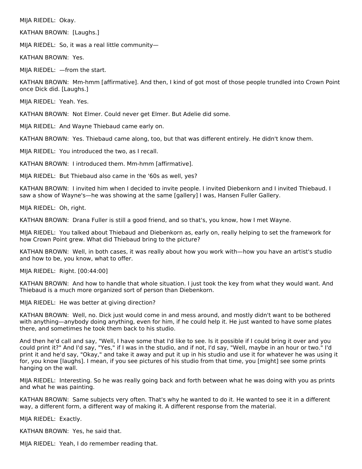MIJA RIEDEL: Okay.

KATHAN BROWN: [Laughs.]

MIJA RIEDEL: So, it was a real little community—

KATHAN BROWN: Yes.

MIJA RIEDEL: —from the start.

KATHAN BROWN: Mm-hmm [affirmative]. And then, I kind of got most of those people trundled into Crown Point once Dick did. [Laughs.]

MIJA RIEDEL: Yeah. Yes.

KATHAN BROWN: Not Elmer. Could never get Elmer. But Adelie did some.

MIJA RIEDEL: And Wayne Thiebaud came early on.

KATHAN BROWN: Yes. Thiebaud came along, too, but that was different entirely. He didn't know them.

MIJA RIEDEL: You introduced the two, as I recall.

KATHAN BROWN: I introduced them. Mm-hmm [affirmative].

MIJA RIEDEL: But Thiebaud also came in the '60s as well, yes?

KATHAN BROWN: I invited him when I decided to invite people. I invited Diebenkorn and I invited Thiebaud. I saw a show of Wayne's—he was showing at the same [gallery] I was, Hansen Fuller Gallery.

MIJA RIEDEL: Oh, right.

KATHAN BROWN: Drana Fuller is still a good friend, and so that's, you know, how I met Wayne.

MIJA RIEDEL: You talked about Thiebaud and Diebenkorn as, early on, really helping to set the framework for how Crown Point grew. What did Thiebaud bring to the picture?

KATHAN BROWN: Well, in both cases, it was really about how you work with—how you have an artist's studio and how to be, you know, what to offer.

MIJA RIEDEL: Right. [00:44:00]

KATHAN BROWN: And how to handle that whole situation. I just took the key from what they would want. And Thiebaud is a much more organized sort of person than Diebenkorn.

MIJA RIEDEL: He was better at giving direction?

KATHAN BROWN: Well, no. Dick just would come in and mess around, and mostly didn't want to be bothered with anything—anybody doing anything, even for him, if he could help it. He just wanted to have some plates there, and sometimes he took them back to his studio.

And then he'd call and say, "Well, I have some that I'd like to see. Is it possible if I could bring it over and you could print it?" And I'd say, "Yes," if I was in the studio, and if not, I'd say, "Well, maybe in an hour or two." I'd print it and he'd say, "Okay," and take it away and put it up in his studio and use it for whatever he was using it for, you know [laughs]. I mean, if you see pictures of his studio from that time, you [might] see some prints hanging on the wall.

MIJA RIEDEL: Interesting. So he was really going back and forth between what he was doing with you as prints and what he was painting.

KATHAN BROWN: Same subjects very often. That's why he wanted to do it. He wanted to see it in a different way, a different form, a different way of making it. A different response from the material.

MIJA RIEDEL: Exactly.

KATHAN BROWN: Yes, he said that.

MIJA RIEDEL: Yeah, I do remember reading that.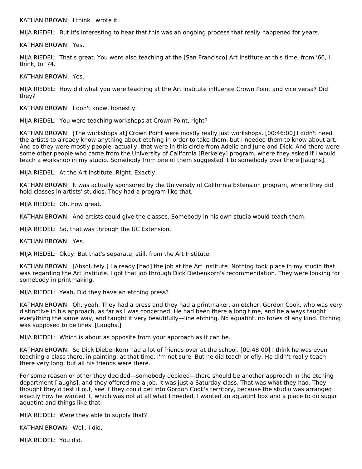KATHAN BROWN: I think I wrote it.

MIJA RIEDEL: But it's interesting to hear that this was an ongoing process that really happened for years.

KATHAN BROWN: Yes.

MIJA RIEDEL: That's great. You were also teaching at the [San Francisco] Art Institute at this time, from '66, I think, to '74.

KATHAN BROWN: Yes.

MIJA RIEDEL: How did what you were teaching at the Art Institute influence Crown Point and vice versa? Did they?

KATHAN BROWN: I don't know, honestly.

MIJA RIEDEL: You were teaching workshops at Crown Point, right?

KATHAN BROWN: [The workshops at] Crown Point were mostly really just workshops. [00:46:00] I didn't need the artists to already know anything about etching in order to take them, but I needed them to know about art. And so they were mostly people, actually, that were in this circle from Adelie and June and Dick. And there were some other people who came from the University of California [Berkeley] program, where they asked if I would teach a workshop in my studio. Somebody from one of them suggested it to somebody over there [laughs].

MIJA RIEDEL: At the Art Institute. Right. Exactly.

KATHAN BROWN: It was actually sponsored by the University of California Extension program, where they did hold classes in artists' studios. They had a program like that.

MIJA RIEDEL: Oh, how great.

KATHAN BROWN: And artists could give the classes. Somebody in his own studio would teach them.

MIJA RIEDEL: So, that was through the UC Extension.

KATHAN BROWN: Yes.

MIJA RIEDEL: Okay. But that's separate, still, from the Art Institute.

KATHAN BROWN: [Absolutely.] I already [had] the job at the Art Institute. Nothing took place in my studio that was regarding the Art Institute. I got that job through Dick Diebenkorn's recommendation. They were looking for somebody in printmaking.

MIJA RIEDEL: Yeah. Did they have an etching press?

KATHAN BROWN: Oh, yeah. They had a press and they had a printmaker, an etcher, Gordon Cook, who was very distinctive in his approach, as far as I was concerned. He had been there a long time, and he always taught everything the same way, and taught it very beautifully—line etching. No aquatint, no tones of any kind. Etching was supposed to be lines. [Laughs.]

MIJA RIEDEL: Which is about as opposite from your approach as it can be.

KATHAN BROWN: So Dick Diebenkorn had a lot of friends over at the school. [00:48:00] I think he was even teaching a class there, in painting, at that time. I'm not sure. But he did teach briefly. He didn't really teach there very long, but all his friends were there.

For some reason or other they decided—somebody decided—there should be another approach in the etching department [laughs], and they offered me a job. It was just a Saturday class. That was what they had. They thought they'd test it out, see if they could get into Gordon Cook's territory, because the studio was arranged exactly how he wanted it, which was not at all what I needed. I wanted an aquatint box and a place to do sugar aquatint and things like that.

MIJA RIEDEL: Were they able to supply that?

KATHAN BROWN: Well, I did.

MIJA RIEDEL: You did.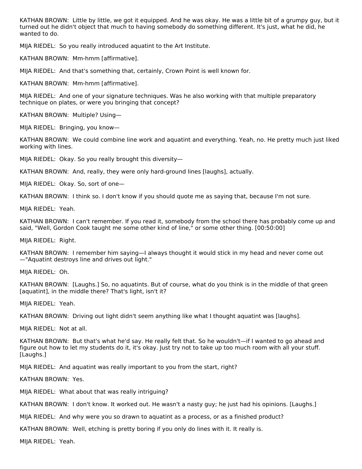KATHAN BROWN: Little by little, we got it equipped. And he was okay. He was a little bit of a grumpy guy, but it turned out he didn't object that much to having somebody do something different. It's just, what he did, he wanted to do.

MIJA RIEDEL: So you really introduced aquatint to the Art Institute.

KATHAN BROWN: Mm-hmm [affirmative].

MIJA RIEDEL: And that's something that, certainly, Crown Point is well known for.

KATHAN BROWN: Mm-hmm [affirmative].

MIJA RIEDEL: And one of your signature techniques. Was he also working with that multiple preparatory technique on plates, or were you bringing that concept?

KATHAN BROWN: Multiple? Using—

MIJA RIEDEL: Bringing, you know—

KATHAN BROWN: We could combine line work and aquatint and everything. Yeah, no. He pretty much just liked working with lines.

MIJA RIEDEL: Okay. So you really brought this diversity—

KATHAN BROWN: And, really, they were only hard-ground lines [laughs], actually.

MIJA RIEDEL: Okay. So, sort of one—

KATHAN BROWN: I think so. I don't know if you should quote me as saying that, because I'm not sure.

MIJA RIEDEL: Yeah.

KATHAN BROWN: I can't remember. If you read it, somebody from the school there has probably come up and said, "Well, Gordon Cook taught me some other kind of line," or some other thing. [00:50:00]

MIJA RIEDEL: Right.

KATHAN BROWN: I remember him saying—I always thought it would stick in my head and never come out —"Aquatint destroys line and drives out light."

MIJA RIEDEL: Oh.

KATHAN BROWN: [Laughs.] So, no aquatints. But of course, what do you think is in the middle of that green [aquatint], in the middle there? That's light, isn't it?

MIJA RIEDEL: Yeah.

KATHAN BROWN: Driving out light didn't seem anything like what I thought aquatint was [laughs].

MIJA RIEDEL: Not at all.

KATHAN BROWN: But that's what he'd say. He really felt that. So he wouldn't—if I wanted to go ahead and figure out how to let my students do it, it's okay. Just try not to take up too much room with all your stuff. [Laughs.]

MIJA RIEDEL: And aquatint was really important to you from the start, right?

KATHAN BROWN: Yes.

MIJA RIEDEL: What about that was really intriguing?

KATHAN BROWN: I don't know. It worked out. He wasn't a nasty guy; he just had his opinions. [Laughs.]

MIJA RIEDEL: And why were you so drawn to aquatint as a process, or as a finished product?

KATHAN BROWN: Well, etching is pretty boring if you only do lines with it. It really is.

MIJA RIEDEL: Yeah.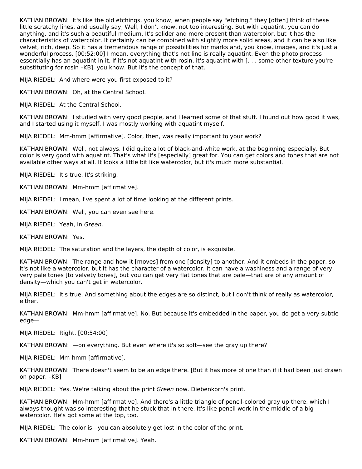KATHAN BROWN: It's like the old etchings, you know, when people say "etching," they [often] think of these little scratchy lines, and usually say, Well, I don't know, not too interesting. But with aquatint, you can do anything, and it's such a beautiful medium. It's solider and more present than watercolor, but it has the characteristics of watercolor. It certainly can be combined with slightly more solid areas, and it can be also like velvet, rich, deep. So it has a tremendous range of possibilities for marks and, you know, images, and it's just a wonderful process. [00:52:00] I mean, everything that's not line is really aquatint. Even the photo process essentially has an aquatint in it. If it's not aquatint with rosin, it's aquatint with [. . . some other texture you're substituting for rosin –KB], you know. But it's the concept of that.

MIJA RIEDEL: And where were you first exposed to it?

KATHAN BROWN: Oh, at the Central School.

MIJA RIEDEL: At the Central School.

KATHAN BROWN: I studied with very good people, and I learned some of that stuff. I found out how good it was, and I started using it myself. I was mostly working with aquatint myself.

MIJA RIEDEL: Mm-hmm [affirmative]. Color, then, was really important to your work?

KATHAN BROWN: Well, not always. I did quite a lot of black-and-white work, at the beginning especially. But color is very good with aquatint. That's what it's [especially] great for. You can get colors and tones that are not available other ways at all. It looks a little bit like watercolor, but it's much more substantial.

MIJA RIEDEL: It's true. It's striking.

KATHAN BROWN: Mm-hmm [affirmative].

MIJA RIEDEL: I mean, I've spent a lot of time looking at the different prints.

KATHAN BROWN: Well, you can even see here.

MIJA RIEDEL: Yeah, in Green.

KATHAN BROWN: Yes.

MIJA RIEDEL: The saturation and the layers, the depth of color, is exquisite.

KATHAN BROWN: The range and how it [moves] from one [density] to another. And it embeds in the paper, so it's not like a watercolor, but it has the character of a watercolor. It can have a washiness and a range of very, very pale tones [to velvety tones], but you can get very flat tones that are pale—that are of any amount of density—which you can't get in watercolor.

MIJA RIEDEL: It's true. And something about the edges are so distinct, but I don't think of really as watercolor, either.

KATHAN BROWN: Mm-hmm [affirmative]. No. But because it's embedded in the paper, you do get a very subtle edge—

MIJA RIEDEL: Right. [00:54:00]

KATHAN BROWN: —on everything. But even where it's so soft—see the gray up there?

MIJA RIEDEL: Mm-hmm [affirmative].

KATHAN BROWN: There doesn't seem to be an edge there. [But it has more of one than if it had been just drawn on paper. –KB]

MIJA RIEDEL: Yes. We're talking about the print Green now. Diebenkorn's print.

KATHAN BROWN: Mm-hmm [affirmative]. And there's a little triangle of pencil-colored gray up there, which I always thought was so interesting that he stuck that in there. It's like pencil work in the middle of a big watercolor. He's got some at the top, too.

MIJA RIEDEL: The color is—you can absolutely get lost in the color of the print.

KATHAN BROWN: Mm-hmm [affirmative]. Yeah.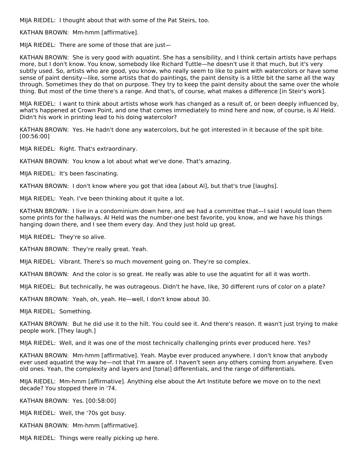MIJA RIEDEL: I thought about that with some of the Pat Steirs, too.

KATHAN BROWN: Mm-hmm [affirmative].

MIJA RIEDEL: There are some of those that are just—

KATHAN BROWN: She is very good with aquatint. She has a sensibility, and I think certain artists have perhaps more, but I don't know. You know, somebody like Richard Tuttle—he doesn't use it that much, but it's very subtly used. So, artists who are good, you know, who really seem to like to paint with watercolors or have some sense of paint density—like, some artists that do paintings, the paint density is a little bit the same all the way through. Sometimes they do that on purpose. They try to keep the paint density about the same over the whole thing. But most of the time there's a range. And that's, of course, what makes a difference [in Steir's work].

MIJA RIEDEL: I want to think about artists whose work has changed as a result of, or been deeply influenced by, what's happened at Crown Point, and one that comes immediately to mind here and now, of course, is Al Held. Didn't his work in printing lead to his doing watercolor?

KATHAN BROWN: Yes. He hadn't done any watercolors, but he got interested in it because of the spit bite. [00:56:00]

MIJA RIEDEL: Right. That's extraordinary.

KATHAN BROWN: You know a lot about what we've done. That's amazing.

MIJA RIEDEL: It's been fascinating.

KATHAN BROWN: I don't know where you got that idea [about Al], but that's true [laughs].

MIJA RIEDEL: Yeah. I've been thinking about it quite a lot.

KATHAN BROWN: I live in a condominium down here, and we had a committee that—I said I would loan them some prints for the hallways. Al Held was the number-one best favorite, you know, and we have his things hanging down there, and I see them every day. And they just hold up great.

MIJA RIEDEL: They're so alive.

KATHAN BROWN: They're really great. Yeah.

MIJA RIEDEL: Vibrant. There's so much movement going on. They're so complex.

KATHAN BROWN: And the color is so great. He really was able to use the aquatint for all it was worth.

MIJA RIEDEL: But technically, he was outrageous. Didn't he have, like, 30 different runs of color on a plate?

KATHAN BROWN: Yeah, oh, yeah. He—well, I don't know about 30.

MIJA RIEDEL: Something.

KATHAN BROWN: But he did use it to the hilt. You could see it. And there's reason. It wasn't just trying to make people work. [They laugh.]

MIJA RIEDEL: Well, and it was one of the most technically challenging prints ever produced here. Yes?

KATHAN BROWN: Mm-hmm [affirmative]. Yeah. Maybe ever produced anywhere. I don't know that anybody ever used aquatint the way he—not that I'm aware of. I haven't seen any others coming from anywhere. Even old ones. Yeah, the complexity and layers and [tonal] differentials, and the range of differentials.

MIJA RIEDEL: Mm-hmm [affirmative]. Anything else about the Art Institute before we move on to the next decade? You stopped there in '74.

KATHAN BROWN: Yes. [00:58:00]

MIJA RIEDEL: Well, the '70s got busy.

KATHAN BROWN: Mm-hmm [affirmative].

MIJA RIEDEL: Things were really picking up here.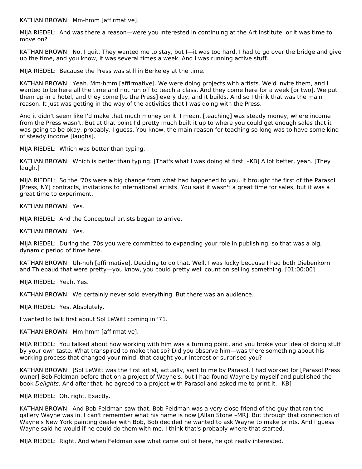KATHAN BROWN: Mm-hmm [affirmative].

MIJA RIEDEL: And was there a reason—were you interested in continuing at the Art Institute, or it was time to move on?

KATHAN BROWN: No, I quit. They wanted me to stay, but I—it was too hard. I had to go over the bridge and give up the time, and you know, it was several times a week. And I was running active stuff.

MIJA RIEDEL: Because the Press was still in Berkeley at the time.

KATHAN BROWN: Yeah. Mm-hmm [affirmative]. We were doing projects with artists. We'd invite them, and I wanted to be here all the time and not run off to teach a class. And they come here for a week [or two]. We put them up in a hotel, and they come [to the Press] every day, and it builds. And so I think that was the main reason. It just was getting in the way of the activities that I was doing with the Press.

And it didn't seem like I'd make that much money on it. I mean, [teaching] was steady money, where income from the Press wasn't. But at that point I'd pretty much built it up to where you could get enough sales that it was going to be okay, probably, I guess. You know, the main reason for teaching so long was to have some kind of steady income [laughs].

MIJA RIEDEL: Which was better than typing.

KATHAN BROWN: Which is better than typing. [That's what I was doing at first. –KB] A lot better, yeah. [They laugh.]

MIJA RIEDEL: So the '70s were a big change from what had happened to you. It brought the first of the Parasol [Press, NY] contracts, invitations to international artists. You said it wasn't a great time for sales, but it was a great time to experiment.

KATHAN BROWN: Yes.

MIJA RIEDEL: And the Conceptual artists began to arrive.

KATHAN BROWN: Yes.

MIJA RIEDEL: During the '70s you were committed to expanding your role in publishing, so that was a big, dynamic period of time here.

KATHAN BROWN: Uh-huh [affirmative]. Deciding to do that. Well, I was lucky because I had both Diebenkorn and Thiebaud that were pretty—you know, you could pretty well count on selling something. [01:00:00]

MIJA RIEDEL: Yeah. Yes.

KATHAN BROWN: We certainly never sold everything. But there was an audience.

MIJA RIEDEL: Yes. Absolutely.

I wanted to talk first about Sol LeWitt coming in '71.

KATHAN BROWN: Mm-hmm [affirmative].

MIJA RIEDEL: You talked about how working with him was a turning point, and you broke your idea of doing stuff by your own taste. What transpired to make that so? Did you observe him—was there something about his working process that changed your mind, that caught your interest or surprised you?

KATHAN BROWN: [Sol LeWitt was the first artist, actually, sent to me by Parasol. I had worked for [Parasol Press owner] Bob Feldman before that on a project of Wayne's, but I had found Wayne by myself and published the book Delights. And after that, he agreed to a project with Parasol and asked me to print it. –KB]

#### MIJA RIEDEL: Oh, right. Exactly.

KATHAN BROWN: And Bob Feldman saw that. Bob Feldman was a very close friend of the guy that ran the gallery Wayne was in. I can't remember what his name is now [Allan Stone –MR]. But through that connection of Wayne's New York painting dealer with Bob, Bob decided he wanted to ask Wayne to make prints. And I guess Wayne said he would if he could do them with me. I think that's probably where that started.

MIJA RIEDEL: Right. And when Feldman saw what came out of here, he got really interested.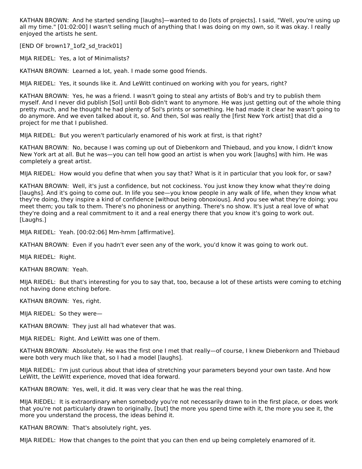KATHAN BROWN: And he started sending [laughs]—wanted to do [lots of projects]. I said, "Well, you're using up all my time." [01:02:00] I wasn't selling much of anything that I was doing on my own, so it was okay. I really enjoyed the artists he sent.

[END OF brown17\_1of2\_sd\_track01]

MIJA RIEDEL: Yes, a lot of Minimalists?

KATHAN BROWN: Learned a lot, yeah. I made some good friends.

MIJA RIEDEL: Yes, it sounds like it. And LeWitt continued on working with you for years, right?

KATHAN BROWN: Yes, he was a friend. I wasn't going to steal any artists of Bob's and try to publish them myself. And I never did publish [Sol] until Bob didn't want to anymore. He was just getting out of the whole thing pretty much, and he thought he had plenty of Sol's prints or something. He had made it clear he wasn't going to do anymore. And we even talked about it, so. And then, Sol was really the [first New York artist] that did a project for me that I published.

MIJA RIEDEL: But you weren't particularly enamored of his work at first, is that right?

KATHAN BROWN: No, because I was coming up out of Diebenkorn and Thiebaud, and you know, I didn't know New York art at all. But he was—you can tell how good an artist is when you work [laughs] with him. He was completely a great artist.

MIJA RIEDEL: How would you define that when you say that? What is it in particular that you look for, or saw?

KATHAN BROWN: Well, it's just a confidence, but not cockiness. You just know they know what they're doing [laughs]. And it's going to come out. In life you see—you know people in any walk of life, when they know what they're doing, they inspire a kind of confidence [without being obnoxious]. And you see what they're doing; you meet them; you talk to them. There's no phoniness or anything. There's no show. It's just a real love of what they're doing and a real commitment to it and a real energy there that you know it's going to work out. [Laughs.]

MIJA RIEDEL: Yeah. [00:02:06] Mm-hmm [affirmative].

KATHAN BROWN: Even if you hadn't ever seen any of the work, you'd know it was going to work out.

MIJA RIEDEL: Right.

KATHAN BROWN: Yeah.

MIJA RIEDEL: But that's interesting for you to say that, too, because a lot of these artists were coming to etching not having done etching before.

KATHAN BROWN: Yes, right.

MIJA RIEDEL: So they were—

KATHAN BROWN: They just all had whatever that was.

MIJA RIEDEL: Right. And LeWitt was one of them.

KATHAN BROWN: Absolutely. He was the first one I met that really—of course, I knew Diebenkorn and Thiebaud were both very much like that, so I had a model [laughs].

MIJA RIEDEL: I'm just curious about that idea of stretching your parameters beyond your own taste. And how LeWitt, the LeWitt experience, moved that idea forward.

KATHAN BROWN: Yes, well, it did. It was very clear that he was the real thing.

MIJA RIEDEL: It is extraordinary when somebody you're not necessarily drawn to in the first place, or does work that you're not particularly drawn to originally, [but] the more you spend time with it, the more you see it, the more you understand the process, the ideas behind it.

KATHAN BROWN: That's absolutely right, yes.

MIJA RIEDEL: How that changes to the point that you can then end up being completely enamored of it.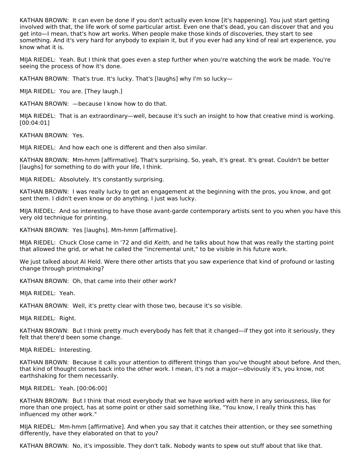KATHAN BROWN: It can even be done if you don't actually even know [it's happening]. You just start getting involved with that, the life work of some particular artist. Even one that's dead, you can discover that and you get into—I mean, that's how art works. When people make those kinds of discoveries, they start to see something. And it's very hard for anybody to explain it, but if you ever had any kind of real art experience, you know what it is.

MIJA RIEDEL: Yeah. But I think that goes even a step further when you're watching the work be made. You're seeing the process of how it's done.

KATHAN BROWN: That's true. It's lucky. That's [laughs] why I'm so lucky—

MIJA RIEDEL: You are. [They laugh.]

KATHAN BROWN: —because I know how to do that.

MIJA RIEDEL: That is an extraordinary—well, because it's such an insight to how that creative mind is working. [00:04:01]

KATHAN BROWN: Yes.

MIJA RIEDEL: And how each one is different and then also similar.

KATHAN BROWN: Mm-hmm [affirmative]. That's surprising. So, yeah, it's great. It's great. Couldn't be better [laughs] for something to do with your life, I think.

MIJA RIEDEL: Absolutely. It's constantly surprising.

KATHAN BROWN: I was really lucky to get an engagement at the beginning with the pros, you know, and got sent them. I didn't even know or do anything. I just was lucky.

MIJA RIEDEL: And so interesting to have those avant-garde contemporary artists sent to you when you have this very old technique for printing.

KATHAN BROWN: Yes [laughs]. Mm-hmm [affirmative].

MIJA RIEDEL: Chuck Close came in '72 and did Keith, and he talks about how that was really the starting point that allowed the grid, or what he called the "incremental unit," to be visible in his future work.

We just talked about Al Held. Were there other artists that you saw experience that kind of profound or lasting change through printmaking?

KATHAN BROWN: Oh, that came into their other work?

MIJA RIEDEL: Yeah.

KATHAN BROWN: Well, it's pretty clear with those two, because it's so visible.

MIJA RIEDEL: Right.

KATHAN BROWN: But I think pretty much everybody has felt that it changed—if they got into it seriously, they felt that there'd been some change.

MIJA RIEDEL: Interesting.

KATHAN BROWN: Because it calls your attention to different things than you've thought about before. And then, that kind of thought comes back into the other work. I mean, it's not a major—obviously it's, you know, not earthshaking for them necessarily.

MIJA RIEDEL: Yeah. [00:06:00]

KATHAN BROWN: But I think that most everybody that we have worked with here in any seriousness, like for more than one project, has at some point or other said something like, "You know, I really think this has influenced my other work."

MIJA RIEDEL: Mm-hmm [affirmative]. And when you say that it catches their attention, or they see something differently, have they elaborated on that to you?

KATHAN BROWN: No, it's impossible. They don't talk. Nobody wants to spew out stuff about that like that.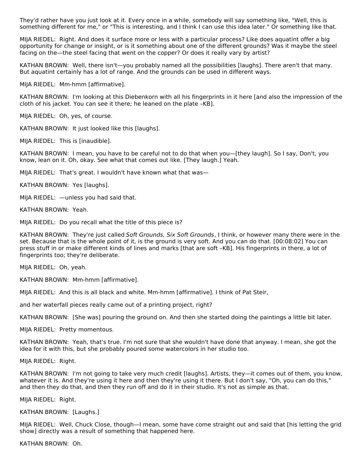They'd rather have you just look at it. Every once in a while, somebody will say something like, "Well, this is something different for me," or "This is interesting, and I think I can use this idea later." Or something like that.

MIJA RIEDEL: Right. And does it surface more or less with a particular process? Like does aquatint offer a big opportunity for change or insight, or is it something about one of the different grounds? Was it maybe the steel facing on the—the steel facing that went on the copper? Or does it really vary by artist?

KATHAN BROWN: Well, there isn't—you probably named all the possibilities [laughs]. There aren't that many. But aquatint certainly has a lot of range. And the grounds can be used in different ways.

MIJA RIEDEL: Mm-hmm [affirmative].

KATHAN BROWN: I'm looking at this Diebenkorn with all his fingerprints in it here [and also the impression of the cloth of his jacket. You can see it there; he leaned on the plate –KB].

MIJA RIEDEL: Oh, yes, of course.

KATHAN BROWN: It just looked like this [laughs].

MIJA RIEDEL: This is [inaudible].

KATHAN BROWN: I mean, you have to be careful not to do that when you—[they laugh]. So I say, Don't, you know, lean on it. Oh, okay. See what that comes out like. [They laugh.] Yeah.

MIJA RIEDEL: That's great. I wouldn't have known what that was—

KATHAN BROWN: Yes [laughs].

MIJA RIEDEL: —unless you had said that.

KATHAN BROWN: Yeah.

MIJA RIEDEL: Do you recall what the title of this piece is?

KATHAN BROWN: They're just called Soft Grounds, Six Soft Grounds, I think, or however many there were in the set. Because that is the whole point of it, is the ground is very soft. And you can do that. [00:08:02] You can press stuff in or make different kinds of lines and marks [that are soft –KB]. His fingerprints in there, a lot of fingerprints too; they're deliberate.

MIJA RIEDEL: Oh, yeah.

KATHAN BROWN: Mm-hmm [affirmative].

MIJA RIEDEL: And this is all black and white. Mm-hmm [affirmative]. I think of Pat Steir,

and her waterfall pieces really came out of a printing project, right?

KATHAN BROWN: [She was] pouring the ground on. And then she started doing the paintings a little bit later.

MIJA RIEDEL: Pretty momentous.

KATHAN BROWN: Yeah, that's true. I'm not sure that she wouldn't have done that anyway. I mean, she got the idea for it with this, but she probably poured some watercolors in her studio too.

MIJA RIEDEL: Right.

KATHAN BROWN: I'm not going to take very much credit [laughs]. Artists, they—it comes out of them, you know, whatever it is. And they're using it here and then they're using it there. But I don't say, "Oh, you can do this," and then they do that, and then they run off and do it in their studio. It's not as simple as that.

MIJA RIEDEL: Right.

KATHAN BROWN: [Laughs.]

MIJA RIEDEL: Well, Chuck Close, though—I mean, some have come straight out and said that [his letting the grid show] directly was a result of something that happened here.

KATHAN BROWN: Oh.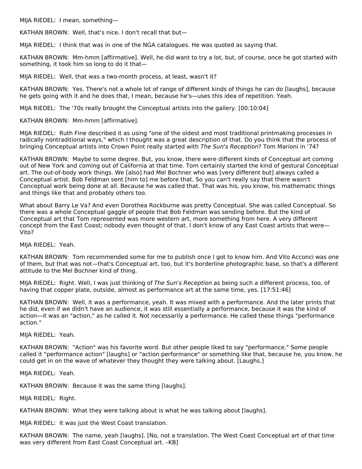MIJA RIEDEL: I mean, something—

KATHAN BROWN: Well, that's nice. I don't recall that but—

MIJA RIEDEL: I think that was in one of the NGA catalogues. He was quoted as saying that.

KATHAN BROWN: Mm-hmm [affirmative]. Well, he did want to try a lot, but, of course, once he got started with something, it took him so long to do it that—

MIJA RIEDEL: Well, that was a two-month process, at least, wasn't it?

KATHAN BROWN: Yes. There's not a whole lot of range of different kinds of things he can do [laughs], because he gets going with it and he does that, I mean, because he's—uses this idea of repetition. Yeah.

MIJA RIEDEL: The '70s really brought the Conceptual artists into the gallery. [00:10:04]

KATHAN BROWN: Mm-hmm [affirmative].

MIJA RIEDEL: Ruth Fine described it as using "one of the oldest and most traditional printmaking processes in radically nontraditional ways," which I thought was a great description of that. Do you think that the process of bringing Conceptual artists into Crown Point really started with The Sun's Reception? Tom Marioni in '74?

KATHAN BROWN: Maybe to some degree. But, you know, there were different kinds of Conceptual art coming out of New York and coming out of California at that time. Tom certainly started the kind of gestural Conceptual art. The out-of-body work things. We [also] had Mel Bochner who was [very different but] always called a Conceptual artist. Bob Feldman sent [him to] me before that. So you can't really say that there wasn't Conceptual work being done at all. Because he was called that. That was his, you know, his mathematic things and things like that and probably others too.

What about Barry Le Va? And even Dorothea Rockburne was pretty Conceptual. She was called Conceptual. So there was a whole Conceptual gaggle of people that Bob Feldman was sending before. But the kind of Conceptual art that Tom represented was more western art, more something from here. A very different concept from the East Coast; nobody even thought of that. I don't know of any East Coast artists that were— Vito?

MIJA RIEDEL: Yeah.

KATHAN BROWN: Tom recommended some for me to publish once I got to know him. And Vito Acconci was one of them, but that was not—that's Conceptual art, too, but it's borderline photographic base, so that's a different attitude to the Mel Bochner kind of thing.

MIJA RIEDEL: Right. Well, I was just thinking of The Sun's Reception as being such a different process, too, of having that copper plate, outside, almost as performance art at the same time, yes. [17:51:46]

KATHAN BROWN: Well, it was a performance, yeah. It was mixed with a performance. And the later prints that he did, even if we didn't have an audience, it was still essentially a performance, because it was the kind of action—it was an "action," as he called it. Not necessarily a performance. He called these things "performance action."

MIJA RIEDEL: Yeah.

KATHAN BROWN: "Action" was his favorite word. But other people liked to say "performance." Some people called it "performance action" [laughs] or "action performance" or something like that, because he, you know, he could get in on the wave of whatever they thought they were talking about. [Laughs.]

MIJA RIEDEL: Yeah.

KATHAN BROWN: Because it was the same thing [laughs].

MIJA RIEDEL: Right.

KATHAN BROWN: What they were talking about is what he was talking about [laughs].

MIJA RIEDEL: It was just the West Coast translation.

KATHAN BROWN: The name, yeah [laughs]. [No, not a translation. The West Coast Conceptual art of that time was very different from East Coast Conceptual art. –KB]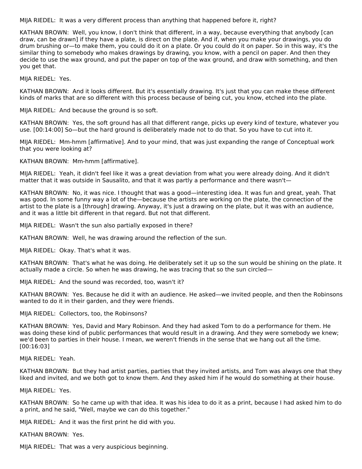MIJA RIEDEL: It was a very different process than anything that happened before it, right?

KATHAN BROWN: Well, you know, I don't think that different, in a way, because everything that anybody [can draw, can be drawn] if they have a plate, is direct on the plate. And if, when you make your drawings, you do drum brushing or—to make them, you could do it on a plate. Or you could do it on paper. So in this way, it's the similar thing to somebody who makes drawings by drawing, you know, with a pencil on paper. And then they decide to use the wax ground, and put the paper on top of the wax ground, and draw with something, and then you get that.

MIJA RIEDEL: Yes.

KATHAN BROWN: And it looks different. But it's essentially drawing. It's just that you can make these different kinds of marks that are so different with this process because of being cut, you know, etched into the plate.

MIJA RIEDEL: And because the ground is so soft.

KATHAN BROWN: Yes, the soft ground has all that different range, picks up every kind of texture, whatever you use. [00:14:00] So—but the hard ground is deliberately made not to do that. So you have to cut into it.

MIJA RIEDEL: Mm-hmm [affirmative]. And to your mind, that was just expanding the range of Conceptual work that you were looking at?

KATHAN BROWN: Mm-hmm [affirmative].

MIJA RIEDEL: Yeah, it didn't feel like it was a great deviation from what you were already doing. And it didn't matter that it was outside in Sausalito, and that it was partly a performance and there wasn't—

KATHAN BROWN: No, it was nice. I thought that was a good—interesting idea. It was fun and great, yeah. That was good. In some funny way a lot of the—because the artists are working on the plate, the connection of the artist to the plate is a [through] drawing. Anyway, it's just a drawing on the plate, but it was with an audience, and it was a little bit different in that regard. But not that different.

MIJA RIEDEL: Wasn't the sun also partially exposed in there?

KATHAN BROWN: Well, he was drawing around the reflection of the sun.

MIJA RIEDEL: Okay. That's what it was.

KATHAN BROWN: That's what he was doing. He deliberately set it up so the sun would be shining on the plate. It actually made a circle. So when he was drawing, he was tracing that so the sun circled—

MIJA RIEDEL: And the sound was recorded, too, wasn't it?

KATHAN BROWN: Yes. Because he did it with an audience. He asked—we invited people, and then the Robinsons wanted to do it in their garden, and they were friends.

MIJA RIEDEL: Collectors, too, the Robinsons?

KATHAN BROWN: Yes, David and Mary Robinson. And they had asked Tom to do a performance for them. He was doing these kind of public performances that would result in a drawing. And they were somebody we knew; we'd been to parties in their house. I mean, we weren't friends in the sense that we hang out all the time. [00:16:03]

MIJA RIEDEL: Yeah.

KATHAN BROWN: But they had artist parties, parties that they invited artists, and Tom was always one that they liked and invited, and we both got to know them. And they asked him if he would do something at their house.

MIJA RIEDEL: Yes.

KATHAN BROWN: So he came up with that idea. It was his idea to do it as a print, because I had asked him to do a print, and he said, "Well, maybe we can do this together."

MIJA RIEDEL: And it was the first print he did with you.

KATHAN BROWN: Yes.

MIJA RIEDEL: That was a very auspicious beginning.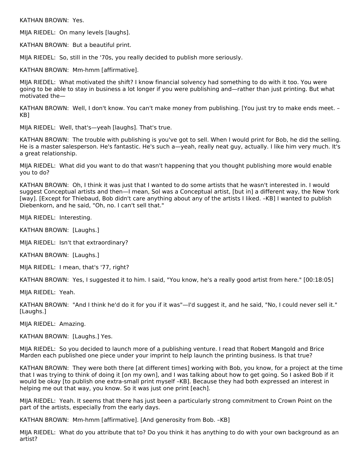KATHAN BROWN: Yes.

MIJA RIEDEL: On many levels [laughs].

KATHAN BROWN: But a beautiful print.

MIJA RIEDEL: So, still in the '70s, you really decided to publish more seriously.

KATHAN BROWN: Mm-hmm [affirmative].

MIJA RIEDEL: What motivated the shift? I know financial solvency had something to do with it too. You were going to be able to stay in business a lot longer if you were publishing and—rather than just printing. But what motivated the—

KATHAN BROWN: Well, I don't know. You can't make money from publishing. [You just try to make ends meet. – KB]

MIJA RIEDEL: Well, that's—yeah [laughs]. That's true.

KATHAN BROWN: The trouble with publishing is you've got to sell. When I would print for Bob, he did the selling. He is a master salesperson. He's fantastic. He's such a—yeah, really neat guy, actually. I like him very much. It's a great relationship.

MIJA RIEDEL: What did you want to do that wasn't happening that you thought publishing more would enable you to do?

KATHAN BROWN: Oh, I think it was just that I wanted to do some artists that he wasn't interested in. I would suggest Conceptual artists and then—I mean, Sol was a Conceptual artist, [but in] a different way, the New York [way]. [Except for Thiebaud, Bob didn't care anything about any of the artists I liked. –KB] I wanted to publish Diebenkorn, and he said, "Oh, no. I can't sell that."

MIJA RIEDEL: Interesting.

KATHAN BROWN: [Laughs.]

MIJA RIEDEL: Isn't that extraordinary?

KATHAN BROWN: [Laughs.]

MIJA RIEDEL: I mean, that's '77, right?

KATHAN BROWN: Yes, I suggested it to him. I said, "You know, he's a really good artist from here." [00:18:05]

MIJA RIEDEL: Yeah.

KATHAN BROWN: "And I think he'd do it for you if it was"—I'd suggest it, and he said, "No, I could never sell it." [Laughs.]

MIJA RIEDEL: Amazing.

KATHAN BROWN: [Laughs.] Yes.

MIJA RIEDEL: So you decided to launch more of a publishing venture. I read that Robert Mangold and Brice Marden each published one piece under your imprint to help launch the printing business. Is that true?

KATHAN BROWN: They were both there [at different times] working with Bob, you know, for a project at the time that I was trying to think of doing it [on my own], and I was talking about how to get going. So I asked Bob if it would be okay [to publish one extra-small print myself –KB]. Because they had both expressed an interest in helping me out that way, you know. So it was just one print [each].

MIJA RIEDEL: Yeah. It seems that there has just been a particularly strong commitment to Crown Point on the part of the artists, especially from the early days.

KATHAN BROWN: Mm-hmm [affirmative]. [And generosity from Bob. –KB]

MIJA RIEDEL: What do you attribute that to? Do you think it has anything to do with your own background as an artist?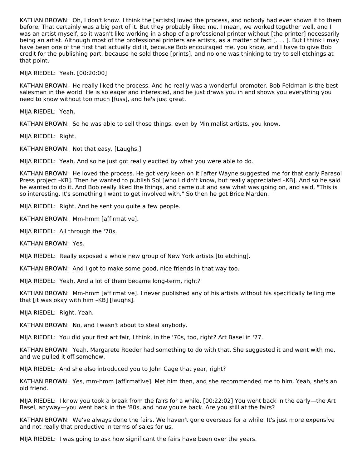KATHAN BROWN: Oh, I don't know. I think the [artists] loved the process, and nobody had ever shown it to them before. That certainly was a big part of it. But they probably liked me. I mean, we worked together well, and I was an artist myself, so it wasn't like working in a shop of a professional printer without [the printer] necessarily being an artist. Although most of the professional printers are artists, as a matter of fact [. . . ]. But I think I may have been one of the first that actually did it, because Bob encouraged me, you know, and I have to give Bob credit for the publishing part, because he sold those [prints], and no one was thinking to try to sell etchings at that point.

MIJA RIEDEL: Yeah. [00:20:00]

KATHAN BROWN: He really liked the process. And he really was a wonderful promoter. Bob Feldman is the best salesman in the world. He is so eager and interested, and he just draws you in and shows you everything you need to know without too much [fuss], and he's just great.

MIJA RIEDEL: Yeah.

KATHAN BROWN: So he was able to sell those things, even by Minimalist artists, you know.

MIJA RIEDEL: Right.

KATHAN BROWN: Not that easy. [Laughs.]

MIJA RIEDEL: Yeah. And so he just got really excited by what you were able to do.

KATHAN BROWN: He loved the process. He got very keen on it [after Wayne suggested me for that early Parasol Press project –KB]. Then he wanted to publish Sol [who I didn't know, but really appreciated –KB]. And so he said he wanted to do it. And Bob really liked the things, and came out and saw what was going on, and said, "This is so interesting. It's something I want to get involved with." So then he got Brice Marden.

MIJA RIEDEL: Right. And he sent you quite a few people.

KATHAN BROWN: Mm-hmm [affirmative].

MIJA RIEDEL: All through the '70s.

KATHAN BROWN: Yes.

MIJA RIEDEL: Really exposed a whole new group of New York artists [to etching].

KATHAN BROWN: And I got to make some good, nice friends in that way too.

MIJA RIEDEL: Yeah. And a lot of them became long-term, right?

KATHAN BROWN: Mm-hmm [affirmative]. I never published any of his artists without his specifically telling me that [it was okay with him –KB] [laughs].

MIJA RIEDEL: Right. Yeah.

KATHAN BROWN: No, and I wasn't about to steal anybody.

MIJA RIEDEL: You did your first art fair, I think, in the '70s, too, right? Art Basel in '77.

KATHAN BROWN: Yeah. Margarete Roeder had something to do with that. She suggested it and went with me, and we pulled it off somehow.

MIJA RIEDEL: And she also introduced you to John Cage that year, right?

KATHAN BROWN: Yes, mm-hmm [affirmative]. Met him then, and she recommended me to him. Yeah, she's an old friend.

MIJA RIEDEL: I know you took a break from the fairs for a while. [00:22:02] You went back in the early—the Art Basel, anyway—you went back in the '80s, and now you're back. Are you still at the fairs?

KATHAN BROWN: We've always done the fairs. We haven't gone overseas for a while. It's just more expensive and not really that productive in terms of sales for us.

MIJA RIEDEL: I was going to ask how significant the fairs have been over the years.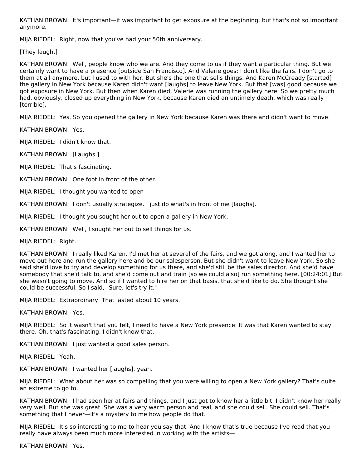KATHAN BROWN: It's important—it was important to get exposure at the beginning, but that's not so important anymore.

MIJA RIEDEL: Right, now that you've had your 50th anniversary.

[They laugh.]

KATHAN BROWN: Well, people know who we are. And they come to us if they want a particular thing. But we certainly want to have a presence [outside San Francisco]. And Valerie goes; I don't like the fairs. I don't go to them at all anymore, but I used to with her. But she's the one that sells things. And Karen McCready [started] the gallery in New York because Karen didn't want [laughs] to leave New York. But that [was] good because we got exposure in New York. But then when Karen died, Valerie was running the gallery here. So we pretty much had, obviously, closed up everything in New York, because Karen died an untimely death, which was really [terrible].

MIJA RIEDEL: Yes. So you opened the gallery in New York because Karen was there and didn't want to move.

KATHAN BROWN: Yes.

MIJA RIEDEL: I didn't know that.

KATHAN BROWN: [Laughs.]

MIJA RIEDEL: That's fascinating.

KATHAN BROWN: One foot in front of the other.

MIJA RIEDEL: I thought you wanted to open—

KATHAN BROWN: I don't usually strategize. I just do what's in front of me [laughs].

MIJA RIEDEL: I thought you sought her out to open a gallery in New York.

KATHAN BROWN: Well, I sought her out to sell things for us.

MIJA RIEDEL: Right.

KATHAN BROWN: I really liked Karen. I'd met her at several of the fairs, and we got along, and I wanted her to move out here and run the gallery here and be our salesperson. But she didn't want to leave New York. So she said she'd love to try and develop something for us there, and she'd still be the sales director. And she'd have somebody that she'd talk to, and she'd come out and train [so we could also] run something here. [00:24:01] But she wasn't going to move. And so if I wanted to hire her on that basis, that she'd like to do. She thought she could be successful. So I said, "Sure, let's try it."

MIJA RIEDEL: Extraordinary. That lasted about 10 years.

KATHAN BROWN: Yes.

MIJA RIEDEL: So it wasn't that you felt, I need to have a New York presence. It was that Karen wanted to stay there. Oh, that's fascinating. I didn't know that.

KATHAN BROWN: I just wanted a good sales person.

MIJA RIEDEL: Yeah.

KATHAN BROWN: I wanted her [laughs], yeah.

MIJA RIEDEL: What about her was so compelling that you were willing to open a New York gallery? That's quite an extreme to go to.

KATHAN BROWN: I had seen her at fairs and things, and I just got to know her a little bit. I didn't know her really very well. But she was great. She was a very warm person and real, and she could sell. She could sell. That's something that I never—it's a mystery to me how people do that.

MIJA RIEDEL: It's so interesting to me to hear you say that. And I know that's true because I've read that you really have always been much more interested in working with the artists—

KATHAN BROWN: Yes.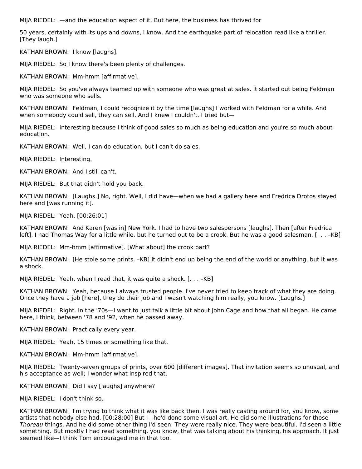MIJA RIEDEL: —and the education aspect of it. But here, the business has thrived for

50 years, certainly with its ups and downs, I know. And the earthquake part of relocation read like a thriller. [They laugh.]

KATHAN BROWN: I know [laughs].

MIJA RIEDEL: So I know there's been plenty of challenges.

KATHAN BROWN: Mm-hmm [affirmative].

MIJA RIEDEL: So you've always teamed up with someone who was great at sales. It started out being Feldman who was someone who sells.

KATHAN BROWN: Feldman, I could recognize it by the time [laughs] I worked with Feldman for a while. And when somebody could sell, they can sell. And I knew I couldn't. I tried but—

MIJA RIEDEL: Interesting because I think of good sales so much as being education and you're so much about education.

KATHAN BROWN: Well, I can do education, but I can't do sales.

MIJA RIEDEL: Interesting.

KATHAN BROWN: And I still can't.

MIJA RIEDEL: But that didn't hold you back.

KATHAN BROWN: [Laughs.] No, right. Well, I did have—when we had a gallery here and Fredrica Drotos stayed here and [was running it].

MIJA RIEDEL: Yeah. [00:26:01]

KATHAN BROWN: And Karen [was in] New York. I had to have two salespersons [laughs]. Then [after Fredrica left], I had Thomas Way for a little while, but he turned out to be a crook. But he was a good salesman. [. . . –KB]

MIJA RIEDEL: Mm-hmm [affirmative]. [What about] the crook part?

KATHAN BROWN: [He stole some prints. –KB] It didn't end up being the end of the world or anything, but it was a shock.

MIJA RIEDEL: Yeah, when I read that, it was quite a shock. [. . . –KB]

KATHAN BROWN: Yeah, because I always trusted people. I've never tried to keep track of what they are doing. Once they have a job [here], they do their job and I wasn't watching him really, you know. [Laughs.]

MIJA RIEDEL: Right. In the '70s—I want to just talk a little bit about John Cage and how that all began. He came here, I think, between '78 and '92, when he passed away.

KATHAN BROWN: Practically every year.

MIJA RIEDEL: Yeah, 15 times or something like that.

KATHAN BROWN: Mm-hmm [affirmative].

MIJA RIEDEL: Twenty-seven groups of prints, over 600 [different images]. That invitation seems so unusual, and his acceptance as well; I wonder what inspired that.

KATHAN BROWN: Did I say [laughs] anywhere?

MIJA RIEDEL: I don't think so.

KATHAN BROWN: I'm trying to think what it was like back then. I was really casting around for, you know, some artists that nobody else had. [00:28:00] But I—he'd done some visual art. He did some illustrations for those Thoreau things. And he did some other thing I'd seen. They were really nice. They were beautiful. I'd seen a little something. But mostly I had read something, you know, that was talking about his thinking, his approach. It just seemed like—I think Tom encouraged me in that too.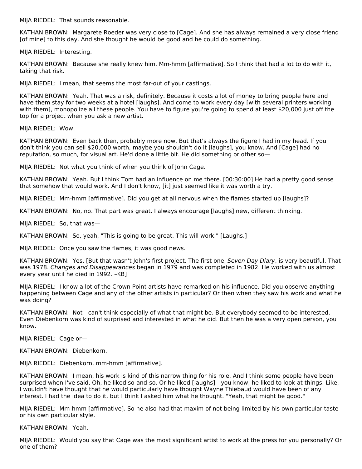MIJA RIEDEL: That sounds reasonable.

KATHAN BROWN: Margarete Roeder was very close to [Cage]. And she has always remained a very close friend [of mine] to this day. And she thought he would be good and he could do something.

MIJA RIEDEL: Interesting.

KATHAN BROWN: Because she really knew him. Mm-hmm [affirmative]. So I think that had a lot to do with it, taking that risk.

MIJA RIEDEL: I mean, that seems the most far-out of your castings.

KATHAN BROWN: Yeah. That was a risk, definitely. Because it costs a lot of money to bring people here and have them stay for two weeks at a hotel [laughs]. And come to work every day [with several printers working with them], monopolize all these people. You have to figure you're going to spend at least \$20,000 just off the top for a project when you ask a new artist.

MIJA RIEDEL: Wow.

KATHAN BROWN: Even back then, probably more now. But that's always the figure I had in my head. If you don't think you can sell \$20,000 worth, maybe you shouldn't do it [laughs], you know. And [Cage] had no reputation, so much, for visual art. He'd done a little bit. He did something or other so—

MIJA RIEDEL: Not what you think of when you think of John Cage.

KATHAN BROWN: Yeah. But I think Tom had an influence on me there. [00:30:00] He had a pretty good sense that somehow that would work. And I don't know, [it] just seemed like it was worth a try.

MIJA RIEDEL: Mm-hmm [affirmative]. Did you get at all nervous when the flames started up [laughs]?

KATHAN BROWN: No, no. That part was great. I always encourage [laughs] new, different thinking.

MIJA RIEDEL: So, that was—

KATHAN BROWN: So, yeah, "This is going to be great. This will work." [Laughs.]

MIJA RIEDEL: Once you saw the flames, it was good news.

KATHAN BROWN: Yes. [But that wasn't John's first project. The first one, Seven Day Diary, is very beautiful. That was 1978. Changes and Disappearances began in 1979 and was completed in 1982. He worked with us almost every year until he died in 1992. –KB]

MIJA RIEDEL: I know a lot of the Crown Point artists have remarked on his influence. Did you observe anything happening between Cage and any of the other artists in particular? Or then when they saw his work and what he was doing?

KATHAN BROWN: Not—can't think especially of what that might be. But everybody seemed to be interested. Even Diebenkorn was kind of surprised and interested in what he did. But then he was a very open person, you know.

MIJA RIEDEL: Cage or—

KATHAN BROWN: Diebenkorn.

MIJA RIEDEL: Diebenkorn, mm-hmm [affirmative].

KATHAN BROWN: I mean, his work is kind of this narrow thing for his role. And I think some people have been surprised when I've said, Oh, he liked so-and-so. Or he liked [laughs]—you know, he liked to look at things. Like, I wouldn't have thought that he would particularly have thought Wayne Thiebaud would have been of any interest. I had the idea to do it, but I think I asked him what he thought. "Yeah, that might be good."

MIJA RIEDEL: Mm-hmm [affirmative]. So he also had that maxim of not being limited by his own particular taste or his own particular style.

KATHAN BROWN: Yeah.

MIJA RIEDEL: Would you say that Cage was the most significant artist to work at the press for you personally? Or one of them?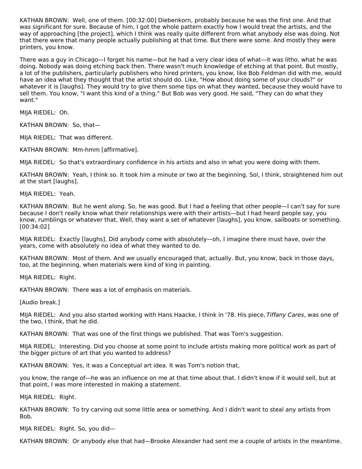KATHAN BROWN: Well, one of them. [00:32:00] Diebenkorn, probably because he was the first one. And that was significant for sure. Because of him, I got the whole pattern exactly how I would treat the artists, and the way of approaching [the project], which I think was really quite different from what anybody else was doing. Not that there were that many people actually publishing at that time. But there were some. And mostly they were printers, you know.

There was a guy in Chicago—I forget his name—but he had a very clear idea of what—it was litho, what he was doing. Nobody was doing etching back then. There wasn't much knowledge of etching at that point. But mostly, a lot of the publishers, particularly publishers who hired printers, you know, like Bob Feldman did with me, would have an idea what they thought that the artist should do. Like, "How about doing some of your clouds?" or whatever it is [laughs]. They would try to give them some tips on what they wanted, because they would have to sell them. You know, "I want this kind of a thing." But Bob was very good. He said, "They can do what they want."

MIJA RIEDEL: Oh.

KATHAN BROWN: So, that—

MIJA RIEDEL: That was different.

KATHAN BROWN: Mm-hmm [affirmative].

MIJA RIEDEL: So that's extraordinary confidence in his artists and also in what you were doing with them.

KATHAN BROWN: Yeah, I think so. It took him a minute or two at the beginning. Sol, I think, straightened him out at the start [laughs].

MIJA RIEDEL: Yeah.

KATHAN BROWN: But he went along. So, he was good. But I had a feeling that other people—I can't say for sure because I don't really know what their relationships were with their artists—but I had heard people say, you know, rumblings or whatever that, Well, they want a set of whatever [laughs], you know, sailboats or something. [00:34:02]

MIJA RIEDEL: Exactly [laughs]. Did anybody come with absolutely—oh, I imagine there must have, over the years, come with absolutely no idea of what they wanted to do.

KATHAN BROWN: Most of them. And we usually encouraged that, actually. But, you know, back in those days, too, at the beginning, when materials were kind of king in painting.

MIJA RIEDEL: Right.

KATHAN BROWN: There was a lot of emphasis on materials.

[Audio break.]

MIJA RIEDEL: And you also started working with Hans Haacke, I think in '78. His piece, Tiffany Cares, was one of the two, I think, that he did.

KATHAN BROWN: That was one of the first things we published. That was Tom's suggestion.

MIJA RIEDEL: Interesting. Did you choose at some point to include artists making more political work as part of the bigger picture of art that you wanted to address?

KATHAN BROWN: Yes, it was a Conceptual art idea. It was Tom's notion that,

you know, the range of—he was an influence on me at that time about that. I didn't know if it would sell, but at that point, I was more interested in making a statement.

MIJA RIEDEL: Right.

KATHAN BROWN: To try carving out some little area or something. And I didn't want to steal any artists from Bob.

MIJA RIEDEL: Right. So, you did—

KATHAN BROWN: Or anybody else that had—Brooke Alexander had sent me a couple of artists in the meantime.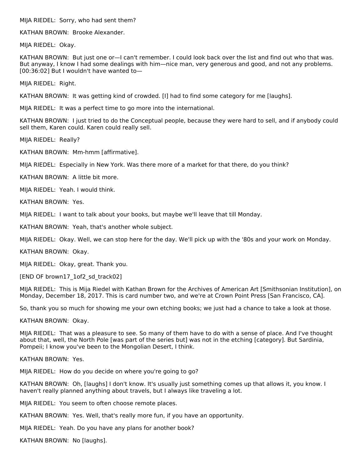MIJA RIEDEL: Sorry, who had sent them?

KATHAN BROWN: Brooke Alexander.

MIJA RIEDEL: Okay.

KATHAN BROWN: But just one or—I can't remember. I could look back over the list and find out who that was. But anyway, I know I had some dealings with him—nice man, very generous and good, and not any problems. [00:36:02] But I wouldn't have wanted to—

MIJA RIEDEL: Right.

KATHAN BROWN: It was getting kind of crowded. [I] had to find some category for me [laughs].

MIJA RIEDEL: It was a perfect time to go more into the international.

KATHAN BROWN: I just tried to do the Conceptual people, because they were hard to sell, and if anybody could sell them, Karen could. Karen could really sell.

MIJA RIEDEL: Really?

KATHAN BROWN: Mm-hmm [affirmative].

MIJA RIEDEL: Especially in New York. Was there more of a market for that there, do you think?

KATHAN BROWN: A little bit more.

MIJA RIEDEL: Yeah. I would think.

KATHAN BROWN: Yes.

MIJA RIEDEL: I want to talk about your books, but maybe we'll leave that till Monday.

KATHAN BROWN: Yeah, that's another whole subject.

MIJA RIEDEL: Okay. Well, we can stop here for the day. We'll pick up with the '80s and your work on Monday.

KATHAN BROWN: Okay.

MIJA RIEDEL: Okay, great. Thank you.

[END OF brown17\_1of2\_sd\_track02]

MIJA RIEDEL: This is Mija Riedel with Kathan Brown for the Archives of American Art [Smithsonian Institution], on Monday, December 18, 2017. This is card number two, and we're at Crown Point Press [San Francisco, CA].

So, thank you so much for showing me your own etching books; we just had a chance to take a look at those.

KATHAN BROWN: Okay.

MIJA RIEDEL: That was a pleasure to see. So many of them have to do with a sense of place. And I've thought about that, well, the North Pole [was part of the series but] was not in the etching [category]. But Sardinia, Pompeii; I know you've been to the Mongolian Desert, I think.

KATHAN BROWN: Yes.

MIJA RIEDEL: How do you decide on where you're going to go?

KATHAN BROWN: Oh, [laughs] I don't know. It's usually just something comes up that allows it, you know. I haven't really planned anything about travels, but I always like traveling a lot.

MIJA RIEDEL: You seem to often choose remote places.

KATHAN BROWN: Yes. Well, that's really more fun, if you have an opportunity.

MIJA RIEDEL: Yeah. Do you have any plans for another book?

KATHAN BROWN: No [laughs].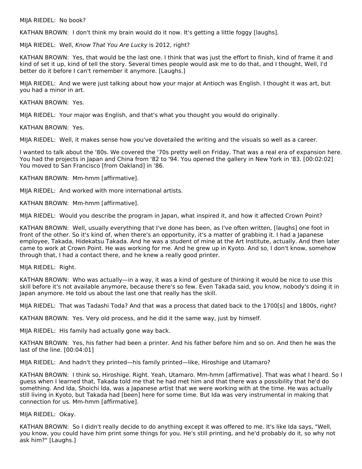#### MIJA RIEDEL: No book?

KATHAN BROWN: I don't think my brain would do it now. It's getting a little foggy [laughs].

MIJA RIEDEL: Well, Know That You Are Lucky is 2012, right?

KATHAN BROWN: Yes, that would be the last one. I think that was just the effort to finish, kind of frame it and kind of set it up, kind of tell the story. Several times people would ask me to do that, and I thought, Well, I'd better do it before I can't remember it anymore. [Laughs.]

MIJA RIEDEL: And we were just talking about how your major at Antioch was English. I thought it was art, but you had a minor in art.

KATHAN BROWN: Yes.

MIJA RIEDEL: Your major was English, and that's what you thought you would do originally.

KATHAN BROWN: Yes.

MIJA RIEDEL: Well, it makes sense how you've dovetailed the writing and the visuals so well as a career.

I wanted to talk about the '80s. We covered the '70s pretty well on Friday. That was a real era of expansion here. You had the projects in Japan and China from '82 to '94. You opened the gallery in New York in '83. [00:02:02] You moved to San Francisco [from Oakland] in '86.

KATHAN BROWN: Mm-hmm [affirmative].

MIJA RIEDEL: And worked with more international artists.

KATHAN BROWN: Mm-hmm [affirmative].

MIJA RIEDEL: Would you describe the program in Japan, what inspired it, and how it affected Crown Point?

KATHAN BROWN: Well, usually everything that I've done has been, as I've often written, [laughs] one foot in front of the other. So it's kind of, when there's an opportunity, it's a matter of grabbing it. I had a Japanese employee, Takada, Hidekatsu Takada. And he was a student of mine at the Art Institute, actually. And then later came to work at Crown Point. He was working for me. And he grew up in Kyoto. And so, I don't know, somehow through that, I had a contact there, and he knew a really good printer.

MIJA RIEDEL: Right.

KATHAN BROWN: Who was actually—in a way, it was a kind of gesture of thinking it would be nice to use this skill before it's not available anymore, because there's so few. Even Takada said, you know, nobody's doing it in Japan anymore. He told us about the last one that really has the skill.

MIJA RIEDEL: That was Tadashi Toda? And that was a process that dated back to the 1700[s] and 1800s, right?

KATHAN BROWN: Yes. Very old process, and he did it the same way, just by himself.

MIJA RIEDEL: His family had actually gone way back.

KATHAN BROWN: Yes, his father had been a printer. And his father before him and so on. And then he was the last of the line. [00:04:01]

MIJA RIEDEL: And hadn't they printed—his family printed—like, Hiroshige and Utamaro?

KATHAN BROWN: I think so, Hiroshige. Right. Yeah, Utamaro. Mm-hmm [affirmative]. That was what I heard. So I guess when I learned that, Takada told me that he had met him and that there was a possibility that he'd do something. And Ida, Shoichi Ida, was a Japanese artist that we were working with at the time. He was actually still living in Kyoto, but Takada had [been] here for some time. But Ida was very instrumental in making that connection for us. Mm-hmm [affirmative].

#### MIJA RIEDEL: Okay.

KATHAN BROWN: So I didn't really decide to do anything except it was offered to me. It's like Ida says, "Well, you know, you could have him print some things for you. He's still printing, and he'd probably do it, so why not ask him?" [Laughs.]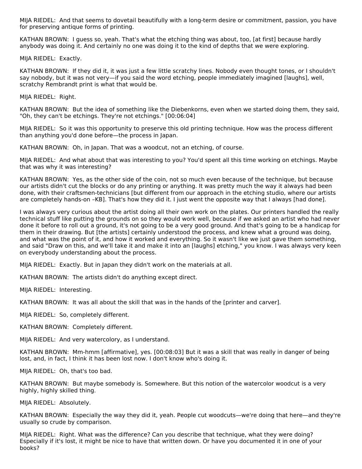MIJA RIEDEL: And that seems to dovetail beautifully with a long-term desire or commitment, passion, you have for preserving antique forms of printing.

KATHAN BROWN: I guess so, yeah. That's what the etching thing was about, too, [at first] because hardly anybody was doing it. And certainly no one was doing it to the kind of depths that we were exploring.

MIJA RIEDEL: Exactly.

KATHAN BROWN: If they did it, it was just a few little scratchy lines. Nobody even thought tones, or I shouldn't say nobody, but it was not very—if you said the word etching, people immediately imagined [laughs], well, scratchy Rembrandt print is what that would be.

MIJA RIEDEL: Right.

KATHAN BROWN: But the idea of something like the Diebenkorns, even when we started doing them, they said, "Oh, they can't be etchings. They're not etchings." [00:06:04]

MIJA RIEDEL: So it was this opportunity to preserve this old printing technique. How was the process different than anything you'd done before—the process in Japan.

KATHAN BROWN: Oh, in Japan. That was a woodcut, not an etching, of course.

MIJA RIEDEL: And what about that was interesting to you? You'd spent all this time working on etchings. Maybe that was why it was interesting?

KATHAN BROWN: Yes, as the other side of the coin, not so much even because of the technique, but because our artists didn't cut the blocks or do any printing or anything. It was pretty much the way it always had been done, with their craftsmen-technicians [but different from our approach in the etching studio, where our artists are completely hands-on –KB]. That's how they did it. I just went the opposite way that I always [had done].

I was always very curious about the artist doing all their own work on the plates. Our printers handled the really technical stuff like putting the grounds on so they would work well, because if we asked an artist who had never done it before to roll out a ground, it's not going to be a very good ground. And that's going to be a handicap for them in their drawing. But [the artists] certainly understood the process, and knew what a ground was doing, and what was the point of it, and how it worked and everything. So it wasn't like we just gave them something, and said "Draw on this, and we'll take it and make it into an [laughs] etching," you know. I was always very keen on everybody understanding about the process.

MIJA RIEDEL: Exactly. But in Japan they didn't work on the materials at all.

KATHAN BROWN: The artists didn't do anything except direct.

MIJA RIEDEL: Interesting.

KATHAN BROWN: It was all about the skill that was in the hands of the [printer and carver].

MIJA RIEDEL: So, completely different.

KATHAN BROWN: Completely different.

MIJA RIEDEL: And very watercolory, as I understand.

KATHAN BROWN: Mm-hmm [affirmative], yes. [00:08:03] But it was a skill that was really in danger of being lost, and, in fact, I think it has been lost now. I don't know who's doing it.

MIJA RIEDEL: Oh, that's too bad.

KATHAN BROWN: But maybe somebody is. Somewhere. But this notion of the watercolor woodcut is a very highly, highly skilled thing.

MIJA RIEDEL: Absolutely.

KATHAN BROWN: Especially the way they did it, yeah. People cut woodcuts—we're doing that here—and they're usually so crude by comparison.

MIJA RIEDEL: Right. What was the difference? Can you describe that technique, what they were doing? Especially if it's lost, it might be nice to have that written down. Or have you documented it in one of your books?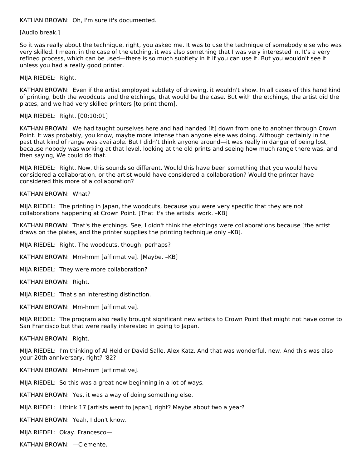KATHAN BROWN: Oh, I'm sure it's documented.

[Audio break.]

So it was really about the technique, right, you asked me. It was to use the technique of somebody else who was very skilled. I mean, in the case of the etching, it was also something that I was very interested in. It's a very refined process, which can be used—there is so much subtlety in it if you can use it. But you wouldn't see it unless you had a really good printer.

MIJA RIEDEL: Right.

KATHAN BROWN: Even if the artist employed subtlety of drawing, it wouldn't show. In all cases of this hand kind of printing, both the woodcuts and the etchings, that would be the case. But with the etchings, the artist did the plates, and we had very skilled printers [to print them].

MIJA RIEDEL: Right. [00:10:01]

KATHAN BROWN: We had taught ourselves here and had handed [it] down from one to another through Crown Point. It was probably, you know, maybe more intense than anyone else was doing. Although certainly in the past that kind of range was available. But I didn't think anyone around—it was really in danger of being lost, because nobody was working at that level, looking at the old prints and seeing how much range there was, and then saying, We could do that.

MIJA RIEDEL: Right. Now, this sounds so different. Would this have been something that you would have considered a collaboration, or the artist would have considered a collaboration? Would the printer have considered this more of a collaboration?

KATHAN BROWN: What?

MIJA RIEDEL: The printing in Japan, the woodcuts, because you were very specific that they are not collaborations happening at Crown Point. [That it's the artists' work. –KB]

KATHAN BROWN: That's the etchings. See, I didn't think the etchings were collaborations because [the artist draws on the plates, and the printer supplies the printing technique only –KB].

MIJA RIEDEL: Right. The woodcuts, though, perhaps?

KATHAN BROWN: Mm-hmm [affirmative]. [Maybe. –KB]

MIJA RIEDEL: They were more collaboration?

KATHAN BROWN: Right.

MIJA RIEDEL: That's an interesting distinction.

KATHAN BROWN: Mm-hmm [affirmative].

MIJA RIEDEL: The program also really brought significant new artists to Crown Point that might not have come to San Francisco but that were really interested in going to Japan.

KATHAN BROWN: Right.

MIJA RIEDEL: I'm thinking of Al Held or David Salle. Alex Katz. And that was wonderful, new. And this was also your 20th anniversary, right? '82?

KATHAN BROWN: Mm-hmm [affirmative].

MIJA RIEDEL: So this was a great new beginning in a lot of ways.

KATHAN BROWN: Yes, it was a way of doing something else.

MIJA RIEDEL: I think 17 [artists went to Japan], right? Maybe about two a year?

KATHAN BROWN: Yeah, I don't know.

MIJA RIEDEL: Okay. Francesco—

KATHAN BROWN: —Clemente.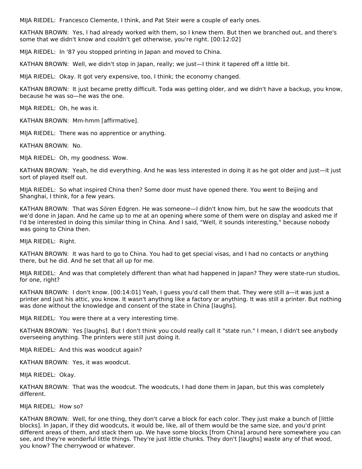MIJA RIEDEL: Francesco Clemente, I think, and Pat Steir were a couple of early ones.

KATHAN BROWN: Yes, I had already worked with them, so I knew them. But then we branched out, and there's some that we didn't know and couldn't get otherwise, you're right. [00:12:02]

MIJA RIEDEL: In '87 you stopped printing in Japan and moved to China.

KATHAN BROWN: Well, we didn't stop in Japan, really; we just—I think it tapered off a little bit.

MIJA RIEDEL: Okay. It got very expensive, too, I think; the economy changed.

KATHAN BROWN: It just became pretty difficult. Toda was getting older, and we didn't have a backup, you know, because he was so—he was the one.

MIJA RIEDEL: Oh, he was it.

KATHAN BROWN: Mm-hmm [affirmative].

MIJA RIEDEL: There was no apprentice or anything.

KATHAN BROWN: No.

MIJA RIEDEL: Oh, my goodness. Wow.

KATHAN BROWN: Yeah, he did everything. And he was less interested in doing it as he got older and just—it just sort of played itself out.

MIJA RIEDEL: So what inspired China then? Some door must have opened there. You went to Beijing and Shanghai, I think, for a few years.

KATHAN BROWN: That was Sören Edgren. He was someone—I didn't know him, but he saw the woodcuts that we'd done in Japan. And he came up to me at an opening where some of them were on display and asked me if I'd be interested in doing this similar thing in China. And I said, "Well, it sounds interesting," because nobody was going to China then.

MIJA RIEDEL: Right.

KATHAN BROWN: It was hard to go to China. You had to get special visas, and I had no contacts or anything there, but he did. And he set that all up for me.

MIJA RIEDEL: And was that completely different than what had happened in Japan? They were state-run studios, for one, right?

KATHAN BROWN: I don't know. [00:14:01] Yeah, I guess you'd call them that. They were still a—it was just a printer and just his attic, you know. It wasn't anything like a factory or anything. It was still a printer. But nothing was done without the knowledge and consent of the state in China [laughs].

MIJA RIEDEL: You were there at a very interesting time.

KATHAN BROWN: Yes [laughs]. But I don't think you could really call it "state run." I mean, I didn't see anybody overseeing anything. The printers were still just doing it.

MIJA RIEDEL: And this was woodcut again?

KATHAN BROWN: Yes, it was woodcut.

MIJA RIEDEL: Okay.

KATHAN BROWN: That was the woodcut. The woodcuts, I had done them in Japan, but this was completely different.

MIJA RIEDEL: How so?

KATHAN BROWN: Well, for one thing, they don't carve a block for each color. They just make a bunch of [little blocks]. In Japan, if they did woodcuts, it would be, like, all of them would be the same size, and you'd print different areas of them, and stack them up. We have some blocks [from China] around here somewhere you can see, and they're wonderful little things. They're just little chunks. They don't [laughs] waste any of that wood, you know? The cherrywood or whatever.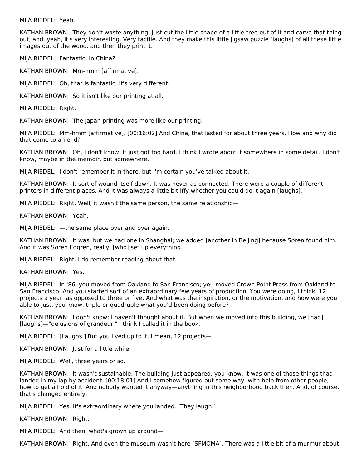MIJA RIEDEL: Yeah.

KATHAN BROWN: They don't waste anything. Just cut the little shape of a little tree out of it and carve that thing out, and, yeah, it's very interesting. Very tactile. And they make this little jigsaw puzzle [laughs] of all these little images out of the wood, and then they print it.

MIJA RIEDEL: Fantastic. In China?

KATHAN BROWN: Mm-hmm [affirmative].

MIJA RIEDEL: Oh, that is fantastic. It's very different.

KATHAN BROWN: So it isn't like our printing at all.

MIJA RIEDEL: Right.

KATHAN BROWN: The Japan printing was more like our printing.

MIJA RIEDEL: Mm-hmm [affirmative]. [00:16:02] And China, that lasted for about three years. How and why did that come to an end?

KATHAN BROWN: Oh, I don't know. It just got too hard. I think I wrote about it somewhere in some detail. I don't know, maybe in the memoir, but somewhere.

MIJA RIEDEL: I don't remember it in there, but I'm certain you've talked about it.

KATHAN BROWN: It sort of wound itself down. It was never as connected. There were a couple of different printers in different places. And it was always a little bit iffy whether you could do it again [laughs].

MIJA RIEDEL: Right. Well, it wasn't the same person, the same relationship—

KATHAN BROWN: Yeah.

MIJA RIEDEL: —the same place over and over again.

KATHAN BROWN: It was, but we had one in Shanghai; we added [another in Beijing] because Sören found him. And it was Sören Edgren, really, [who] set up everything.

MIJA RIEDEL: Right. I do remember reading about that.

KATHAN BROWN: Yes.

MIJA RIEDEL: In '86, you moved from Oakland to San Francisco; you moved Crown Point Press from Oakland to San Francisco. And you started sort of an extraordinary few years of production. You were doing, I think, 12 projects a year, as opposed to three or five. And what was the inspiration, or the motivation, and how were you able to just, you know, triple or quadruple what you'd been doing before?

KATHAN BROWN: I don't know; I haven't thought about it. But when we moved into this building, we [had] [laughs]—"delusions of grandeur," I think I called it in the book.

MIJA RIEDEL: [Laughs.] But you lived up to it, I mean, 12 projects—

KATHAN BROWN: Just for a little while.

MIJA RIEDEL: Well, three years or so.

KATHAN BROWN: It wasn't sustainable. The building just appeared, you know. It was one of those things that landed in my lap by accident. [00:18:01] And I somehow figured out some way, with help from other people, how to get a hold of it. And nobody wanted it anyway—anything in this neighborhood back then. And, of course, that's changed entirely.

MIJA RIEDEL: Yes. It's extraordinary where you landed. [They laugh.]

KATHAN BROWN: Right.

MIJA RIEDEL: And then, what's grown up around—

KATHAN BROWN: Right. And even the museum wasn't here [SFMOMA]. There was a little bit of a murmur about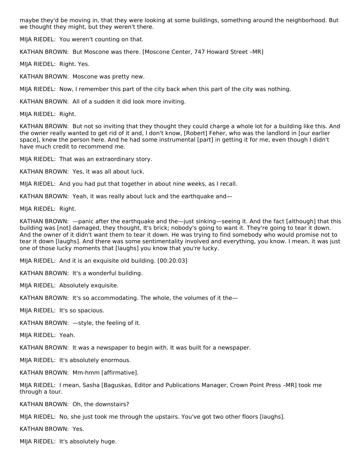maybe they'd be moving in, that they were looking at some buildings, something around the neighborhood. But we thought they might, but they weren't there.

MIJA RIEDEL: You weren't counting on that.

KATHAN BROWN: But Moscone was there. [Moscone Center, 747 Howard Street –MR]

MIJA RIEDEL: Right. Yes.

KATHAN BROWN: Moscone was pretty new.

MIJA RIEDEL: Now, I remember this part of the city back when this part of the city was nothing.

KATHAN BROWN: All of a sudden it did look more inviting.

MIJA RIEDEL: Right.

KATHAN BROWN: But not so inviting that they thought they could charge a whole lot for a building like this. And the owner really wanted to get rid of it and, I don't know, [Robert] Feher, who was the landlord in [our earlier space], knew the person here. And he had some instrumental [part] in getting it for me, even though I didn't have much credit to recommend me.

MIJA RIEDEL: That was an extraordinary story.

KATHAN BROWN: Yes, it was all about luck.

MIJA RIEDEL: And you had put that together in about nine weeks, as I recall.

KATHAN BROWN: Yeah, it was really about luck and the earthquake and—

MIJA RIEDEL: Right.

KATHAN BROWN: —panic after the earthquake and the—just sinking—seeing it. And the fact [although] that this building was [not] damaged, they thought, It's brick; nobody's going to want it. They're going to tear it down. And the owner of it didn't want them to tear it down. He was trying to find somebody who would promise not to tear it down [laughs]. And there was some sentimentality involved and everything, you know. I mean, it was just one of those lucky moments that [laughs] you know that you're lucky.

MIJA RIEDEL: And it is an exquisite old building. [00:20:03]

KATHAN BROWN: It's a wonderful building.

MIJA RIEDEL: Absolutely exquisite.

KATHAN BROWN: It's so accommodating. The whole, the volumes of it the—

MIJA RIEDEL: It's so spacious.

KATHAN BROWN: —style, the feeling of it.

MIJA RIEDEL: Yeah.

KATHAN BROWN: It was a newspaper to begin with. It was built for a newspaper.

MIJA RIEDEL: It's absolutely enormous.

KATHAN BROWN: Mm-hmm [affirmative].

MIJA RIEDEL: I mean, Sasha [Baguskas, Editor and Publications Manager, Crown Point Press –MR] took me through a tour.

KATHAN BROWN: Oh, the downstairs?

MIJA RIEDEL: No, she just took me through the upstairs. You've got two other floors [laughs].

KATHAN BROWN: Yes.

MIJA RIEDEL: It's absolutely huge.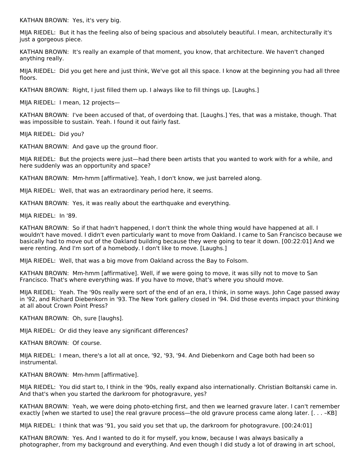KATHAN BROWN: Yes, it's very big.

MIJA RIEDEL: But it has the feeling also of being spacious and absolutely beautiful. I mean, architecturally it's just a gorgeous piece.

KATHAN BROWN: It's really an example of that moment, you know, that architecture. We haven't changed anything really.

MIJA RIEDEL: Did you get here and just think, We've got all this space. I know at the beginning you had all three floors.

KATHAN BROWN: Right, I just filled them up. I always like to fill things up. [Laughs.]

MIJA RIEDEL: I mean, 12 projects—

KATHAN BROWN: I've been accused of that, of overdoing that. [Laughs.] Yes, that was a mistake, though. That was impossible to sustain. Yeah. I found it out fairly fast.

MIJA RIEDEL: Did you?

KATHAN BROWN: And gave up the ground floor.

MIJA RIEDEL: But the projects were just—had there been artists that you wanted to work with for a while, and here suddenly was an opportunity and space?

KATHAN BROWN: Mm-hmm [affirmative]. Yeah, I don't know, we just barreled along.

MIJA RIEDEL: Well, that was an extraordinary period here, it seems.

KATHAN BROWN: Yes, it was really about the earthquake and everything.

MIJA RIEDEL: In '89.

KATHAN BROWN: So if that hadn't happened, I don't think the whole thing would have happened at all. I wouldn't have moved. I didn't even particularly want to move from Oakland. I came to San Francisco because we basically had to move out of the Oakland building because they were going to tear it down. [00:22:01] And we were renting. And I'm sort of a homebody. I don't like to move. [Laughs.]

MIJA RIEDEL: Well, that was a big move from Oakland across the Bay to Folsom.

KATHAN BROWN: Mm-hmm [affirmative]. Well, if we were going to move, it was silly not to move to San Francisco. That's where everything was. If you have to move, that's where you should move.

MIJA RIEDEL: Yeah. The '90s really were sort of the end of an era, I think, in some ways. John Cage passed away in '92, and Richard Diebenkorn in '93. The New York gallery closed in '94. Did those events impact your thinking at all about Crown Point Press?

KATHAN BROWN: Oh, sure [laughs].

MIJA RIEDEL: Or did they leave any significant differences?

KATHAN BROWN: Of course.

MIJA RIEDEL: I mean, there's a lot all at once, '92, '93, '94. And Diebenkorn and Cage both had been so instrumental.

KATHAN BROWN: Mm-hmm [affirmative].

MIJA RIEDEL: You did start to, I think in the '90s, really expand also internationally. Christian Boltanski came in. And that's when you started the darkroom for photogravure, yes?

KATHAN BROWN: Yeah, we were doing photo-etching first, and then we learned gravure later. I can't remember exactly [when we started to use] the real gravure process—the old gravure process came along later. [. . . –KB]

MIJA RIEDEL: I think that was '91, you said you set that up, the darkroom for photogravure. [00:24:01]

KATHAN BROWN: Yes. And I wanted to do it for myself, you know, because I was always basically a photographer, from my background and everything. And even though I did study a lot of drawing in art school,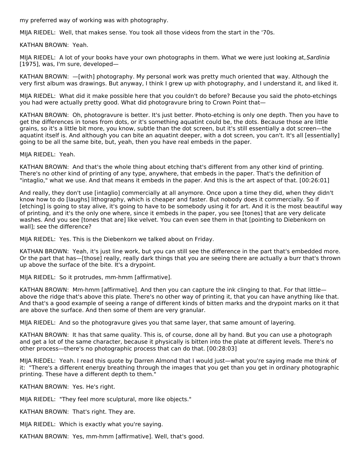my preferred way of working was with photography.

MIJA RIEDEL: Well, that makes sense. You took all those videos from the start in the '70s.

KATHAN BROWN: Yeah.

MIJA RIEDEL: A lot of your books have your own photographs in them. What we were just looking at, Sardinia [1975], was, I'm sure, developed—

KATHAN BROWN: —[with] photography. My personal work was pretty much oriented that way. Although the very first album was drawings. But anyway, I think I grew up with photography, and I understand it, and liked it.

MIJA RIEDEL: What did it make possible here that you couldn't do before? Because you said the photo-etchings you had were actually pretty good. What did photogravure bring to Crown Point that—

KATHAN BROWN: Oh, photogravure is better. It's just better. Photo-etching is only one depth. Then you have to get the differences in tones from dots, or it's something aquatint could be, the dots. Because those are little grains, so it's a little bit more, you know, subtle than the dot screen, but it's still essentially a dot screen—the aquatint itself is. And although you can bite an aquatint deeper, with a dot screen, you can't. It's all [essentially] going to be all the same bite, but, yeah, then you have real embeds in the paper.

MIJA RIEDEL: Yeah.

KATHAN BROWN: And that's the whole thing about etching that's different from any other kind of printing. There's no other kind of printing of any type, anywhere, that embeds in the paper. That's the definition of "intaglio," what we use. And that means it embeds in the paper. And this is the art aspect of that. [00:26:01]

And really, they don't use [intaglio] commercially at all anymore. Once upon a time they did, when they didn't know how to do [laughs] lithography, which is cheaper and faster. But nobody does it commercially. So if [etching] is going to stay alive, it's going to have to be somebody using it for art. And it is the most beautiful way of printing, and it's the only one where, since it embeds in the paper, you see [tones] that are very delicate washes. And you see [tones that are] like velvet. You can even see them in that [pointing to Diebenkorn on wall]; see the difference?

MIJA RIEDEL: Yes. This is the Diebenkorn we talked about on Friday.

KATHAN BROWN: Yeah, it's just line work, but you can still see the difference in the part that's embedded more. Or the part that has—[those] really, really dark things that you are seeing there are actually a burr that's thrown up above the surface of the bite. It's a drypoint.

MIJA RIEDEL: So it protrudes, mm-hmm [affirmative].

KATHAN BROWN: Mm-hmm [affirmative]. And then you can capture the ink clinging to that. For that little above the ridge that's above this plate. There's no other way of printing it, that you can have anything like that. And that's a good example of seeing a range of different kinds of bitten marks and the drypoint marks on it that are above the surface. And then some of them are very granular.

MIJA RIEDEL: And so the photogravure gives you that same layer, that same amount of layering.

KATHAN BROWN: It has that same quality. This is, of course, done all by hand. But you can use a photograph and get a lot of the same character, because it physically is bitten into the plate at different levels. There's no other process—there's no photographic process that can do that. [00:28:03]

MIJA RIEDEL: Yeah. I read this quote by Darren Almond that I would just—what you're saying made me think of it: "There's a different energy breathing through the images that you get than you get in ordinary photographic printing. These have a different depth to them."

KATHAN BROWN: Yes. He's right.

MIJA RIEDEL: "They feel more sculptural, more like objects."

KATHAN BROWN: That's right. They are.

MIJA RIEDEL: Which is exactly what you're saying.

KATHAN BROWN: Yes, mm-hmm [affirmative]. Well, that's good.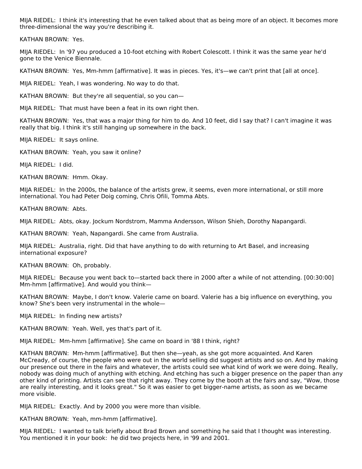MIJA RIEDEL: I think it's interesting that he even talked about that as being more of an object. It becomes more three-dimensional the way you're describing it.

KATHAN BROWN: Yes.

MIJA RIEDEL: In '97 you produced a 10-foot etching with Robert Colescott. I think it was the same year he'd gone to the Venice Biennale.

KATHAN BROWN: Yes, Mm-hmm [affirmative]. It was in pieces. Yes, it's—we can't print that [all at once].

MIJA RIEDEL: Yeah, I was wondering. No way to do that.

KATHAN BROWN: But they're all sequential, so you can—

MIJA RIEDEL: That must have been a feat in its own right then.

KATHAN BROWN: Yes, that was a major thing for him to do. And 10 feet, did I say that? I can't imagine it was really that big. I think it's still hanging up somewhere in the back.

MIJA RIEDEL: It says online.

KATHAN BROWN: Yeah, you saw it online?

MIJA RIEDEL: I did.

KATHAN BROWN: Hmm. Okay.

MIJA RIEDEL: In the 2000s, the balance of the artists grew, it seems, even more international, or still more international. You had Peter Doig coming, Chris Ofili, Tomma Abts.

KATHAN BROWN: Abts.

MIJA RIEDEL: Abts, okay. Jockum Nordstrom, Mamma Andersson, Wilson Shieh, Dorothy Napangardi.

KATHAN BROWN: Yeah, Napangardi. She came from Australia.

MIJA RIEDEL: Australia, right. Did that have anything to do with returning to Art Basel, and increasing international exposure?

KATHAN BROWN: Oh, probably.

MIJA RIEDEL: Because you went back to—started back there in 2000 after a while of not attending. [00:30:00] Mm-hmm [affirmative]. And would you think—

KATHAN BROWN: Maybe, I don't know. Valerie came on board. Valerie has a big influence on everything, you know? She's been very instrumental in the whole—

MIJA RIEDEL: In finding new artists?

KATHAN BROWN: Yeah. Well, yes that's part of it.

MIJA RIEDEL: Mm-hmm [affirmative]. She came on board in '88 I think, right?

KATHAN BROWN: Mm-hmm [affirmative]. But then she—yeah, as she got more acquainted. And Karen McCready, of course, the people who were out in the world selling did suggest artists and so on. And by making our presence out there in the fairs and whatever, the artists could see what kind of work we were doing. Really, nobody was doing much of anything with etching. And etching has such a bigger presence on the paper than any other kind of printing. Artists can see that right away. They come by the booth at the fairs and say, "Wow, those are really interesting, and it looks great." So it was easier to get bigger-name artists, as soon as we became more visible.

MIJA RIEDEL: Exactly. And by 2000 you were more than visible.

KATHAN BROWN: Yeah, mm-hmm [affirmative].

MIJA RIEDEL: I wanted to talk briefly about Brad Brown and something he said that I thought was interesting. You mentioned it in your book: he did two projects here, in '99 and 2001.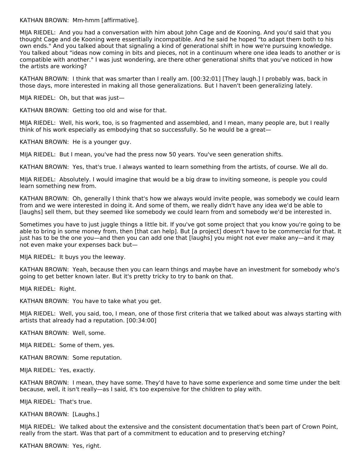KATHAN BROWN: Mm-hmm [affirmative].

MIJA RIEDEL: And you had a conversation with him about John Cage and de Kooning. And you'd said that you thought Cage and de Kooning were essentially incompatible. And he said he hoped "to adapt them both to his own ends." And you talked about that signaling a kind of generational shift in how we're pursuing knowledge. You talked about "ideas now coming in bits and pieces, not in a continuum where one idea leads to another or is compatible with another." I was just wondering, are there other generational shifts that you've noticed in how the artists are working?

KATHAN BROWN: I think that was smarter than I really am. [00:32:01] [They laugh.] I probably was, back in those days, more interested in making all those generalizations. But I haven't been generalizing lately.

MIJA RIEDEL: Oh, but that was just—

KATHAN BROWN: Getting too old and wise for that.

MIJA RIEDEL: Well, his work, too, is so fragmented and assembled, and I mean, many people are, but I really think of his work especially as embodying that so successfully. So he would be a great—

KATHAN BROWN: He is a younger guy.

MIJA RIEDEL: But I mean, you've had the press now 50 years. You've seen generation shifts.

KATHAN BROWN: Yes, that's true. I always wanted to learn something from the artists, of course. We all do.

MIJA RIEDEL: Absolutely. I would imagine that would be a big draw to inviting someone, is people you could learn something new from.

KATHAN BROWN: Oh, generally I think that's how we always would invite people, was somebody we could learn from and we were interested in doing it. And some of them, we really didn't have any idea we'd be able to [laughs] sell them, but they seemed like somebody we could learn from and somebody we'd be interested in.

Sometimes you have to just juggle things a little bit. If you've got some project that you know you're going to be able to bring in some money from, then [that can help]. But [a project] doesn't have to be commercial for that. It just has to be the one you—and then you can add one that [laughs] you might not ever make any—and it may not even make your expenses back but—

MIJA RIEDEL: It buys you the leeway.

KATHAN BROWN: Yeah, because then you can learn things and maybe have an investment for somebody who's going to get better known later. But it's pretty tricky to try to bank on that.

MIJA RIEDEL: Right.

KATHAN BROWN: You have to take what you get.

MIJA RIEDEL: Well, you said, too, I mean, one of those first criteria that we talked about was always starting with artists that already had a reputation. [00:34:00]

KATHAN BROWN: Well, some.

MIJA RIEDEL: Some of them, yes.

KATHAN BROWN: Some reputation.

MIJA RIEDEL: Yes, exactly.

KATHAN BROWN: I mean, they have some. They'd have to have some experience and some time under the belt because, well, it isn't really—as I said, it's too expensive for the children to play with.

MIJA RIEDEL: That's true.

KATHAN BROWN: [Laughs.]

MIJA RIEDEL: We talked about the extensive and the consistent documentation that's been part of Crown Point, really from the start. Was that part of a commitment to education and to preserving etching?

KATHAN BROWN: Yes, right.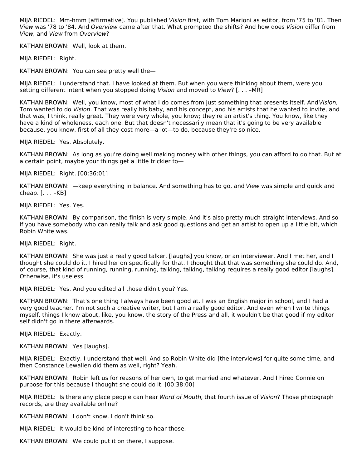MIJA RIEDEL: Mm-hmm [affirmative]. You published Vision first, with Tom Marioni as editor, from '75 to '81. Then View was '78 to '84. And Overview came after that. What prompted the shifts? And how does Vision differ from View, and View from Overview?

KATHAN BROWN: Well, look at them.

MIJA RIEDEL: Right.

KATHAN BROWN: You can see pretty well the—

MIJA RIEDEL: I understand that. I have looked at them. But when you were thinking about them, were you setting different intent when you stopped doing Vision and moved to View? [. . . –MR]

KATHAN BROWN: Well, you know, most of what I do comes from just something that presents itself. AndVision, Tom wanted to do Vision. That was really his baby, and his concept, and his artists that he wanted to invite, and that was, I think, really great. They were very whole, you know; they're an artist's thing. You know, like they have a kind of wholeness, each one. But that doesn't necessarily mean that it's going to be very available because, you know, first of all they cost more—a lot—to do, because they're so nice.

MIJA RIEDEL: Yes. Absolutely.

KATHAN BROWN: As long as you're doing well making money with other things, you can afford to do that. But at a certain point, maybe your things get a little trickier to—

MIJA RIEDEL: Right. [00:36:01]

KATHAN BROWN: —keep everything in balance. And something has to go, and View was simple and quick and cheap. [. . . –KB]

MIJA RIEDEL: Yes. Yes.

KATHAN BROWN: By comparison, the finish is very simple. And it's also pretty much straight interviews. And so if you have somebody who can really talk and ask good questions and get an artist to open up a little bit, which Robin White was.

MIJA RIEDEL: Right.

KATHAN BROWN: She was just a really good talker, [laughs] you know, or an interviewer. And I met her, and I thought she could do it. I hired her on specifically for that. I thought that that was something she could do. And, of course, that kind of running, running, running, talking, talking, talking requires a really good editor [laughs]. Otherwise, it's useless.

MIJA RIEDEL: Yes. And you edited all those didn't you? Yes.

KATHAN BROWN: That's one thing I always have been good at. I was an English major in school, and I had a very good teacher. I'm not such a creative writer, but I am a really good editor. And even when I write things myself, things I know about, like, you know, the story of the Press and all, it wouldn't be that good if my editor self didn't go in there afterwards.

MIJA RIEDEL: Exactly.

KATHAN BROWN: Yes [laughs].

MIJA RIEDEL: Exactly. I understand that well. And so Robin White did [the interviews] for quite some time, and then Constance Lewallen did them as well, right? Yeah.

KATHAN BROWN: Robin left us for reasons of her own, to get married and whatever. And I hired Connie on purpose for this because I thought she could do it. [00:38:00]

MIJA RIEDEL: Is there any place people can hear Word of Mouth, that fourth issue of Vision? Those photograph records, are they available online?

KATHAN BROWN: I don't know. I don't think so.

MIJA RIEDEL: It would be kind of interesting to hear those.

KATHAN BROWN: We could put it on there, I suppose.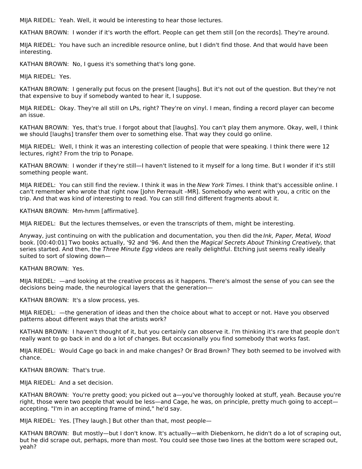MIJA RIEDEL: Yeah. Well, it would be interesting to hear those lectures.

KATHAN BROWN: I wonder if it's worth the effort. People can get them still [on the records]. They're around.

MIJA RIEDEL: You have such an incredible resource online, but I didn't find those. And that would have been interesting.

KATHAN BROWN: No, I guess it's something that's long gone.

MIJA RIEDEL: Yes.

KATHAN BROWN: I generally put focus on the present [laughs]. But it's not out of the question. But they're not that expensive to buy if somebody wanted to hear it, I suppose.

MIJA RIEDEL: Okay. They're all still on LPs, right? They're on vinyl. I mean, finding a record player can become an issue.

KATHAN BROWN: Yes, that's true. I forgot about that [laughs]. You can't play them anymore. Okay, well, I think we should [laughs] transfer them over to something else. That way they could go online.

MIJA RIEDEL: Well, I think it was an interesting collection of people that were speaking. I think there were 12 lectures, right? From the trip to Ponape.

KATHAN BROWN: I wonder if they're still—I haven't listened to it myself for a long time. But I wonder if it's still something people want.

MIJA RIEDEL: You can still find the review. I think it was in the New York Times. I think that's accessible online. I can't remember who wrote that right now [John Perreault –MR]. Somebody who went with you, a critic on the trip. And that was kind of interesting to read. You can still find different fragments about it.

KATHAN BROWN: Mm-hmm [affirmative].

MIJA RIEDEL: But the lectures themselves, or even the transcripts of them, might be interesting.

Anyway, just continuing on with the publication and documentation, you then did the Ink, Paper, Metal, Wood book. [00:40:01] Two books actually, '92 and '96. And then the Magical Secrets About Thinking Creatively, that series started. And then, the Three Minute Egg videos are really delightful. Etching just seems really ideally suited to sort of slowing down—

#### KATHAN BROWN: Yes.

MIJA RIEDEL: —and looking at the creative process as it happens. There's almost the sense of you can see the decisions being made, the neurological layers that the generation—

KATHAN BROWN: It's a slow process, yes.

MIJA RIEDEL: —the generation of ideas and then the choice about what to accept or not. Have you observed patterns about different ways that the artists work?

KATHAN BROWN: I haven't thought of it, but you certainly can observe it. I'm thinking it's rare that people don't really want to go back in and do a lot of changes. But occasionally you find somebody that works fast.

MIJA RIEDEL: Would Cage go back in and make changes? Or Brad Brown? They both seemed to be involved with chance.

KATHAN BROWN: That's true.

MIJA RIEDEL: And a set decision.

KATHAN BROWN: You're pretty good; you picked out a—you've thoroughly looked at stuff, yeah. Because you're right, those were two people that would be less—and Cage, he was, on principle, pretty much going to accept accepting. "I'm in an accepting frame of mind," he'd say.

MIJA RIEDEL: Yes. [They laugh.] But other than that, most people—

KATHAN BROWN: But mostly—but I don't know. It's actually—with Diebenkorn, he didn't do a lot of scraping out, but he did scrape out, perhaps, more than most. You could see those two lines at the bottom were scraped out, yeah?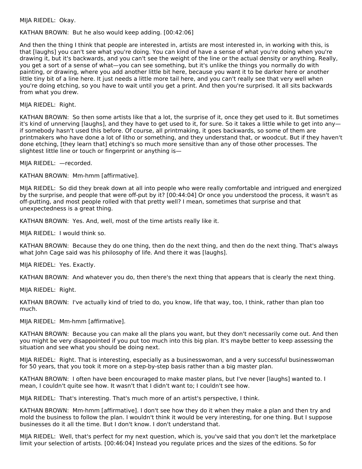#### MIJA RIEDEL: Okay.

#### KATHAN BROWN: But he also would keep adding. [00:42:06]

And then the thing I think that people are interested in, artists are most interested in, in working with this, is that [laughs] you can't see what you're doing. You can kind of have a sense of what you're doing when you're drawing it, but it's backwards, and you can't see the weight of the line or the actual density or anything. Really, you get a sort of a sense of what—you can see something, but it's unlike the things you normally do with painting, or drawing, where you add another little bit here, because you want it to be darker here or another little tiny bit of a line here. It just needs a little more tail here, and you can't really see that very well when you're doing etching, so you have to wait until you get a print. And then you're surprised. It all sits backwards from what you drew.

MIJA RIEDEL: Right.

KATHAN BROWN: So then some artists like that a lot, the surprise of it, once they get used to it. But sometimes it's kind of unnerving [laughs], and they have to get used to it, for sure. So it takes a little while to get into any if somebody hasn't used this before. Of course, all printmaking, it goes backwards, so some of them are printmakers who have done a lot of litho or something, and they understand that, or woodcut. But if they haven't done etching, [they learn that] etching's so much more sensitive than any of those other processes. The slightest little line or touch or fingerprint or anything is-

MIJA RIEDEL: —recorded.

KATHAN BROWN: Mm-hmm [affirmative].

MIJA RIEDEL: So did they break down at all into people who were really comfortable and intrigued and energized by the surprise, and people that were off-put by it? [00:44:04] Or once you understood the process, it wasn't as off-putting, and most people rolled with that pretty well? I mean, sometimes that surprise and that unexpectedness is a great thing.

KATHAN BROWN: Yes. And, well, most of the time artists really like it.

MIJA RIEDEL: I would think so.

KATHAN BROWN: Because they do one thing, then do the next thing, and then do the next thing. That's always what John Cage said was his philosophy of life. And there it was [laughs].

MIJA RIEDEL: Yes. Exactly.

KATHAN BROWN: And whatever you do, then there's the next thing that appears that is clearly the next thing.

MIJA RIEDEL: Right.

KATHAN BROWN: I've actually kind of tried to do, you know, life that way, too, I think, rather than plan too much.

MIJA RIEDEL: Mm-hmm [affirmative].

KATHAN BROWN: Because you can make all the plans you want, but they don't necessarily come out. And then you might be very disappointed if you put too much into this big plan. It's maybe better to keep assessing the situation and see what you should be doing next.

MIJA RIEDEL: Right. That is interesting, especially as a businesswoman, and a very successful businesswoman for 50 years, that you took it more on a step-by-step basis rather than a big master plan.

KATHAN BROWN: I often have been encouraged to make master plans, but I've never [laughs] wanted to. I mean, I couldn't quite see how. It wasn't that I didn't want to; I couldn't see how.

MIJA RIEDEL: That's interesting. That's much more of an artist's perspective, I think.

KATHAN BROWN: Mm-hmm [affirmative]. I don't see how they do it when they make a plan and then try and mold the business to follow the plan. I wouldn't think it would be very interesting, for one thing. But I suppose businesses do it all the time. But I don't know. I don't understand that.

MIJA RIEDEL: Well, that's perfect for my next question, which is, you've said that you don't let the marketplace limit your selection of artists. [00:46:04] Instead you regulate prices and the sizes of the editions. So for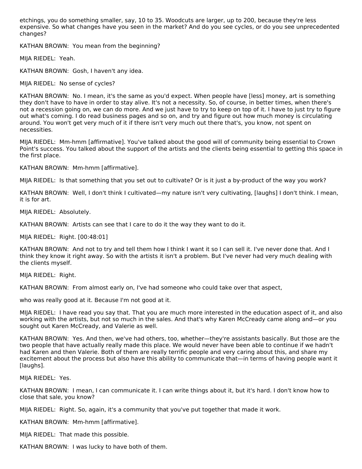etchings, you do something smaller, say, 10 to 35. Woodcuts are larger, up to 200, because they're less expensive. So what changes have you seen in the market? And do you see cycles, or do you see unprecedented changes?

KATHAN BROWN: You mean from the beginning?

MIJA RIEDEL: Yeah.

KATHAN BROWN: Gosh, I haven't any idea.

MIJA RIEDEL: No sense of cycles?

KATHAN BROWN: No. I mean, it's the same as you'd expect. When people have [less] money, art is something they don't have to have in order to stay alive. It's not a necessity. So, of course, in better times, when there's not a recession going on, we can do more. And we just have to try to keep on top of it. I have to just try to figure out what's coming. I do read business pages and so on, and try and figure out how much money is circulating around. You won't get very much of it if there isn't very much out there that's, you know, not spent on necessities.

MIJA RIEDEL: Mm-hmm [affirmative]. You've talked about the good will of community being essential to Crown Point's success. You talked about the support of the artists and the clients being essential to getting this space in the first place.

KATHAN BROWN: Mm-hmm [affirmative].

MIJA RIEDEL: Is that something that you set out to cultivate? Or is it just a by-product of the way you work?

KATHAN BROWN: Well, I don't think I cultivated—my nature isn't very cultivating, [laughs] I don't think. I mean, it is for art.

MIJA RIEDEL: Absolutely.

KATHAN BROWN: Artists can see that I care to do it the way they want to do it.

MIJA RIEDEL: Right. [00:48:01]

KATHAN BROWN: And not to try and tell them how I think I want it so I can sell it. I've never done that. And I think they know it right away. So with the artists it isn't a problem. But I've never had very much dealing with the clients myself.

MIJA RIEDEL: Right.

KATHAN BROWN: From almost early on, I've had someone who could take over that aspect,

who was really good at it. Because I'm not good at it.

MIJA RIEDEL: I have read you say that. That you are much more interested in the education aspect of it, and also working with the artists, but not so much in the sales. And that's why Karen McCready came along and—or you sought out Karen McCready, and Valerie as well.

KATHAN BROWN: Yes. And then, we've had others, too, whether—they're assistants basically. But those are the two people that have actually really made this place. We would never have been able to continue if we hadn't had Karen and then Valerie. Both of them are really terrific people and very caring about this, and share my excitement about the process but also have this ability to communicate that—in terms of having people want it [laughs].

MIJA RIEDEL: Yes.

KATHAN BROWN: I mean, I can communicate it. I can write things about it, but it's hard. I don't know how to close that sale, you know?

MIJA RIEDEL: Right. So, again, it's a community that you've put together that made it work.

KATHAN BROWN: Mm-hmm [affirmative].

MIJA RIEDEL: That made this possible.

KATHAN BROWN: I was lucky to have both of them.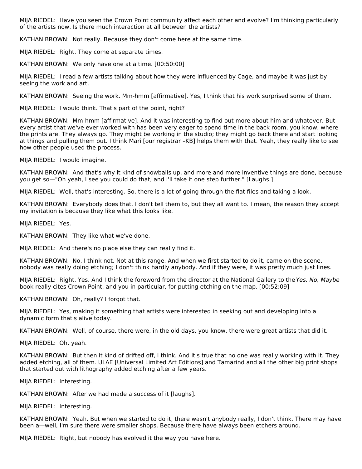MIJA RIEDEL: Have you seen the Crown Point community affect each other and evolve? I'm thinking particularly of the artists now. Is there much interaction at all between the artists?

KATHAN BROWN: Not really. Because they don't come here at the same time.

MIJA RIEDEL: Right. They come at separate times.

KATHAN BROWN: We only have one at a time. [00:50:00]

MIJA RIEDEL: I read a few artists talking about how they were influenced by Cage, and maybe it was just by seeing the work and art.

KATHAN BROWN: Seeing the work. Mm-hmm [affirmative]. Yes, I think that his work surprised some of them.

MIJA RIEDEL: I would think. That's part of the point, right?

KATHAN BROWN: Mm-hmm [affirmative]. And it was interesting to find out more about him and whatever. But every artist that we've ever worked with has been very eager to spend time in the back room, you know, where the prints are. They always go. They might be working in the studio; they might go back there and start looking at things and pulling them out. I think Mari [our registrar -KB] helps them with that. Yeah, they really like to see how other people used the process.

MIJA RIEDEL: I would imagine.

KATHAN BROWN: And that's why it kind of snowballs up, and more and more inventive things are done, because you get so—"Oh yeah, I see you could do that, and I'll take it one step further." [Laughs.]

MIJA RIEDEL: Well, that's interesting. So, there is a lot of going through the flat files and taking a look.

KATHAN BROWN: Everybody does that. I don't tell them to, but they all want to. I mean, the reason they accept my invitation is because they like what this looks like.

MIJA RIEDEL: Yes.

KATHAN BROWN: They like what we've done.

MIJA RIEDEL: And there's no place else they can really find it.

KATHAN BROWN: No, I think not. Not at this range. And when we first started to do it, came on the scene, nobody was really doing etching; I don't think hardly anybody. And if they were, it was pretty much just lines.

MIJA RIEDEL: Right. Yes. And I think the foreword from the director at the National Gallery to the Yes, No, Maybe book really cites Crown Point, and you in particular, for putting etching on the map. [00:52:09]

KATHAN BROWN: Oh, really? I forgot that.

MIJA RIEDEL: Yes, making it something that artists were interested in seeking out and developing into a dynamic form that's alive today.

KATHAN BROWN: Well, of course, there were, in the old days, you know, there were great artists that did it.

MIJA RIEDEL: Oh, yeah.

KATHAN BROWN: But then it kind of drifted off, I think. And it's true that no one was really working with it. They added etching, all of them. ULAE [Universal Limited Art Editions] and Tamarind and all the other big print shops that started out with lithography added etching after a few years.

MIJA RIEDEL: Interesting.

KATHAN BROWN: After we had made a success of it [laughs].

MIJA RIEDEL: Interesting.

KATHAN BROWN: Yeah. But when we started to do it, there wasn't anybody really, I don't think. There may have been a—well, I'm sure there were smaller shops. Because there have always been etchers around.

MIJA RIEDEL: Right, but nobody has evolved it the way you have here.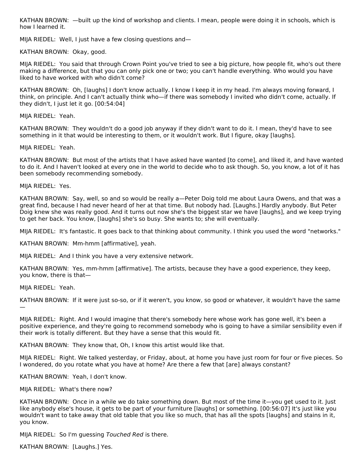KATHAN BROWN: —built up the kind of workshop and clients. I mean, people were doing it in schools, which is how I learned it.

MIJA RIEDEL: Well, I just have a few closing questions and—

KATHAN BROWN: Okay, good.

MIJA RIEDEL: You said that through Crown Point you've tried to see a big picture, how people fit, who's out there making a difference, but that you can only pick one or two; you can't handle everything. Who would you have liked to have worked with who didn't come?

KATHAN BROWN: Oh, [laughs] I don't know actually. I know I keep it in my head. I'm always moving forward, I think, on principle. And I can't actually think who—if there was somebody I invited who didn't come, actually. If they didn't, I just let it go. [00:54:04]

MIJA RIEDEL: Yeah.

KATHAN BROWN: They wouldn't do a good job anyway if they didn't want to do it. I mean, they'd have to see something in it that would be interesting to them, or it wouldn't work. But I figure, okay [laughs].

MIJA RIEDEL: Yeah.

KATHAN BROWN: But most of the artists that I have asked have wanted [to come], and liked it, and have wanted to do it. And I haven't looked at every one in the world to decide who to ask though. So, you know, a lot of it has been somebody recommending somebody.

MIJA RIEDEL: Yes.

KATHAN BROWN: Say, well, so and so would be really a—Peter Doig told me about Laura Owens, and that was a great find, because I had never heard of her at that time. But nobody had. [Laughs.] Hardly anybody. But Peter Doig knew she was really good. And it turns out now she's the biggest star we have [laughs], and we keep trying to get her back. You know, [laughs] she's so busy. She wants to; she will eventually.

MIJA RIEDEL: It's fantastic. It goes back to that thinking about community. I think you used the word "networks."

KATHAN BROWN: Mm-hmm [affirmative], yeah.

MIJA RIEDEL: And I think you have a very extensive network.

KATHAN BROWN: Yes, mm-hmm [affirmative]. The artists, because they have a good experience, they keep, you know, there is that—

MIJA RIEDEL: Yeah.

KATHAN BROWN: If it were just so-so, or if it weren't, you know, so good or whatever, it wouldn't have the same —

MIJA RIEDEL: Right. And I would imagine that there's somebody here whose work has gone well, it's been a positive experience, and they're going to recommend somebody who is going to have a similar sensibility even if their work is totally different. But they have a sense that this would fit.

KATHAN BROWN: They know that, Oh, I know this artist would like that.

MIJA RIEDEL: Right. We talked yesterday, or Friday, about, at home you have just room for four or five pieces. So I wondered, do you rotate what you have at home? Are there a few that [are] always constant?

KATHAN BROWN: Yeah, I don't know.

MIJA RIEDEL: What's there now?

KATHAN BROWN: Once in a while we do take something down. But most of the time it—you get used to it. Just like anybody else's house, it gets to be part of your furniture [laughs] or something. [00:56:07] It's just like you wouldn't want to take away that old table that you like so much, that has all the spots [laughs] and stains in it, you know.

MIJA RIEDEL: So I'm guessing Touched Red is there.

KATHAN BROWN: [Laughs.] Yes.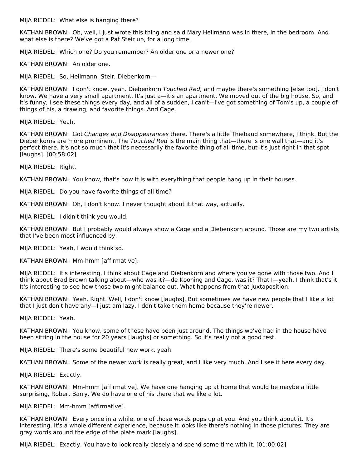MIJA RIEDEL: What else is hanging there?

KATHAN BROWN: Oh, well, I just wrote this thing and said Mary Heilmann was in there, in the bedroom. And what else is there? We've got a Pat Steir up, for a long time.

MIJA RIEDEL: Which one? Do you remember? An older one or a newer one?

KATHAN BROWN: An older one.

MIJA RIEDEL: So, Heilmann, Steir, Diebenkorn—

KATHAN BROWN: I don't know, yeah. Diebenkorn Touched Red, and maybe there's something [else too]. I don't know. We have a very small apartment. It's just a—it's an apartment. We moved out of the big house. So, and it's funny, I see these things every day, and all of a sudden, I can't—I've got something of Tom's up, a couple of things of his, a drawing, and favorite things. And Cage.

MIJA RIEDEL: Yeah.

KATHAN BROWN: Got Changes and Disappearances there. There's a little Thiebaud somewhere, I think. But the Diebenkorns are more prominent. The Touched Red is the main thing that—there is one wall that—and it's perfect there. It's not so much that it's necessarily the favorite thing of all time, but it's just right in that spot [laughs]. [00:58:02]

MIJA RIEDEL: Right.

KATHAN BROWN: You know, that's how it is with everything that people hang up in their houses.

MIJA RIEDEL: Do you have favorite things of all time?

KATHAN BROWN: Oh, I don't know. I never thought about it that way, actually.

MIJA RIEDEL: I didn't think you would.

KATHAN BROWN: But I probably would always show a Cage and a Diebenkorn around. Those are my two artists that I've been most influenced by.

MIJA RIEDEL: Yeah, I would think so.

KATHAN BROWN: Mm-hmm [affirmative].

MIJA RIEDEL: It's interesting, I think about Cage and Diebenkorn and where you've gone with those two. And I think about Brad Brown talking about—who was it?—de Kooning and Cage, was it? That I—yeah, I think that's it. It's interesting to see how those two might balance out. What happens from that juxtaposition.

KATHAN BROWN: Yeah. Right. Well, I don't know [laughs]. But sometimes we have new people that I like a lot that I just don't have any—I just am lazy. I don't take them home because they're newer.

MIJA RIEDEL: Yeah.

KATHAN BROWN: You know, some of these have been just around. The things we've had in the house have been sitting in the house for 20 years [laughs] or something. So it's really not a good test.

MIJA RIEDEL: There's some beautiful new work, yeah.

KATHAN BROWN: Some of the newer work is really great, and I like very much. And I see it here every day.

MIJA RIEDEL: Exactly.

KATHAN BROWN: Mm-hmm [affirmative]. We have one hanging up at home that would be maybe a little surprising, Robert Barry. We do have one of his there that we like a lot.

MIJA RIEDEL: Mm-hmm [affirmative].

KATHAN BROWN: Every once in a while, one of those words pops up at you. And you think about it. It's interesting. It's a whole different experience, because it looks like there's nothing in those pictures. They are gray words around the edge of the plate mark [laughs].

MIJA RIEDEL: Exactly. You have to look really closely and spend some time with it. [01:00:02]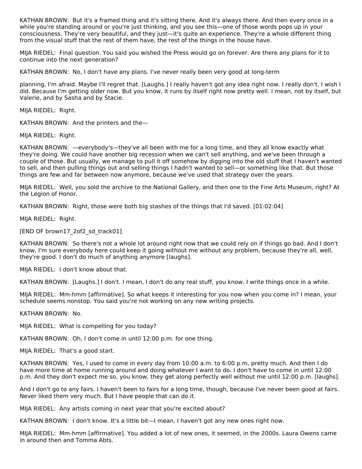KATHAN BROWN: But it's a framed thing and it's sitting there. And it's always there. And then every once in a while you're standing around or you're just thinking, and you see this—one of those words pops up in your consciousness. They're very beautiful, and they just—it's quite an experience. They're a whole different thing from the visual stuff that the rest of them have, the rest of the things in the house have.

MIJA RIEDEL: Final question. You said you wished the Press would go on forever. Are there any plans for it to continue into the next generation?

KATHAN BROWN: No, I don't have any plans. I've never really been very good at long-term

planning, I'm afraid. Maybe I'll regret that. [Laughs.] I really haven't got any idea right now. I really don't. I wish I did. Because I'm getting older now. But you know, it runs by itself right now pretty well. I mean, not by itself, but Valerie, and by Sasha and by Stacie.

MIJA RIEDEL: Right.

KATHAN BROWN: And the printers and the—

MIJA RIEDEL: Right.

KATHAN BROWN: —everybody's—they've all been with me for a long time, and they all know exactly what they're doing. We could have another big recession when we can't sell anything, and we've been through a couple of those. But usually, we manage to pull it off somehow by digging into the old stuff that I haven't wanted to sell, and then pulling things out and selling things I hadn't wanted to sell—or something like that. But those things are few and far between now anymore, because we've used that strategy over the years.

MIJA RIEDEL: Well, you sold the archive to the National Gallery, and then one to the Fine Arts Museum, right? At the Legion of Honor.

KATHAN BROWN: Right, those were both big stashes of the things that I'd saved. [01:02:04]

MIJA RIEDEL: Right.

[END OF brown17\_2of2\_sd\_track01]

KATHAN BROWN: So there's not a whole lot around right now that we could rely on if things go bad. And I don't know, I'm sure everybody here could keep it going without me without any problem, because they're all, well, they're good. I don't do much of anything anymore [laughs].

MIJA RIEDEL: I don't know about that.

KATHAN BROWN: [Laughs.] I don't. I mean, I don't do any real stuff, you know. I write things once in a while.

MIJA RIEDEL: Mm-hmm [affirmative]. So what keeps it interesting for you now when you come in? I mean, your schedule seems nonstop. You said you're not working on any new writing projects.

KATHAN BROWN: No.

MIJA RIEDEL: What is compelling for you today?

KATHAN BROWN: Oh, I don't come in until 12:00 p.m. for one thing.

MIJA RIEDEL: That's a good start.

KATHAN BROWN: Yes, I used to come in every day from 10:00 a.m. to 6:00 p.m, pretty much. And then I do have more time at home running around and doing whatever I want to do. I don't have to come in until 12:00 p.m. And they don't expect me so, you know, they get along perfectly well without me until 12:00 p.m. [laughs].

And I don't go to any fairs. I haven't been to fairs for a long time, though, because I've never been good at fairs. Never liked them very much. But I have people that can do it.

MIJA RIEDEL: Any artists coming in next year that you're excited about?

KATHAN BROWN: I don't know. It's a little bit—I mean, I haven't got any new ones right now.

MIJA RIEDEL: Mm-hmm [affirmative]. You added a lot of new ones, it seemed, in the 2000s. Laura Owens came in around then and Tomma Abts.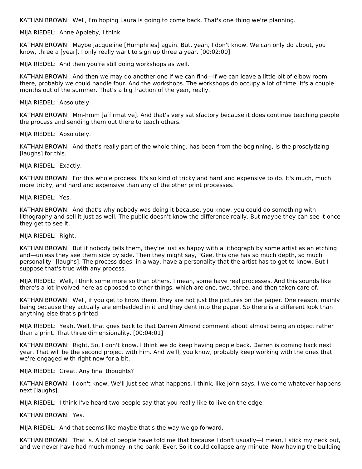KATHAN BROWN: Well, I'm hoping Laura is going to come back. That's one thing we're planning.

MIJA RIEDEL: Anne Appleby, I think.

KATHAN BROWN: Maybe Jacqueline [Humphries] again. But, yeah, I don't know. We can only do about, you know, three a [year]. I only really want to sign up three a year. [00:02:00]

MIJA RIEDEL: And then you're still doing workshops as well.

KATHAN BROWN: And then we may do another one if we can find—if we can leave a little bit of elbow room there, probably we could handle four. And the workshops. The workshops do occupy a lot of time. It's a couple months out of the summer. That's a big fraction of the year, really.

MIJA RIEDEL: Absolutely.

KATHAN BROWN: Mm-hmm [affirmative]. And that's very satisfactory because it does continue teaching people the process and sending them out there to teach others.

MIJA RIEDEL: Absolutely.

KATHAN BROWN: And that's really part of the whole thing, has been from the beginning, is the proselytizing [laughs] for this.

MIJA RIEDEL: Exactly.

KATHAN BROWN: For this whole process. It's so kind of tricky and hard and expensive to do. It's much, much more tricky, and hard and expensive than any of the other print processes.

MIJA RIEDEL: Yes.

KATHAN BROWN: And that's why nobody was doing it because, you know, you could do something with lithography and sell it just as well. The public doesn't know the difference really. But maybe they can see it once they get to see it.

MIJA RIEDEL: Right.

KATHAN BROWN: But if nobody tells them, they're just as happy with a lithograph by some artist as an etching and—unless they see them side by side. Then they might say, "Gee, this one has so much depth, so much personality" [laughs]. The process does, in a way, have a personality that the artist has to get to know. But I suppose that's true with any process.

MIJA RIEDEL: Well, I think some more so than others. I mean, some have real processes. And this sounds like there's a lot involved here as opposed to other things, which are one, two, three, and then taken care of.

KATHAN BROWN: Well, if you get to know them, they are not just the pictures on the paper. One reason, mainly being because they actually are embedded in it and they dent into the paper. So there is a different look than anything else that's printed.

MIJA RIEDEL: Yeah. Well, that goes back to that Darren Almond comment about almost being an object rather than a print. That three dimensionality. [00:04:01]

KATHAN BROWN: Right. So, I don't know. I think we do keep having people back. Darren is coming back next year. That will be the second project with him. And we'll, you know, probably keep working with the ones that we're engaged with right now for a bit.

MIJA RIEDEL: Great. Any final thoughts?

KATHAN BROWN: I don't know. We'll just see what happens. I think, like John says, I welcome whatever happens next [laughs].

MIJA RIEDEL: I think I've heard two people say that you really like to live on the edge.

KATHAN BROWN: Yes.

MIJA RIEDEL: And that seems like maybe that's the way we go forward.

KATHAN BROWN: That is. A lot of people have told me that because I don't usually—I mean, I stick my neck out, and we never have had much money in the bank. Ever. So it could collapse any minute. Now having the building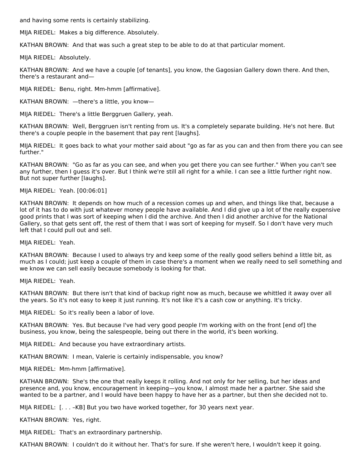and having some rents is certainly stabilizing.

MIJA RIEDEL: Makes a big difference. Absolutely.

KATHAN BROWN: And that was such a great step to be able to do at that particular moment.

MIJA RIEDEL: Absolutely.

KATHAN BROWN: And we have a couple [of tenants], you know, the Gagosian Gallery down there. And then, there's a restaurant and—

MIJA RIEDEL: Benu, right. Mm-hmm [affirmative].

KATHAN BROWN: —there's a little, you know—

MIJA RIEDEL: There's a little Berggruen Gallery, yeah.

KATHAN BROWN: Well, Berggruen isn't renting from us. It's a completely separate building. He's not here. But there's a couple people in the basement that pay rent [laughs].

MIJA RIEDEL: It goes back to what your mother said about "go as far as you can and then from there you can see further."

KATHAN BROWN: "Go as far as you can see, and when you get there you can see further." When you can't see any further, then I guess it's over. But I think we're still all right for a while. I can see a little further right now. But not super further [laughs].

#### MIJA RIEDEL: Yeah. [00:06:01]

KATHAN BROWN: It depends on how much of a recession comes up and when, and things like that, because a lot of it has to do with just whatever money people have available. And I did give up a lot of the really expensive good prints that I was sort of keeping when I did the archive. And then I did another archive for the National Gallery, so that gets sent off, the rest of them that I was sort of keeping for myself. So I don't have very much left that I could pull out and sell.

MIJA RIEDEL: Yeah.

KATHAN BROWN: Because I used to always try and keep some of the really good sellers behind a little bit, as much as I could; just keep a couple of them in case there's a moment when we really need to sell something and we know we can sell easily because somebody is looking for that.

MIJA RIEDEL: Yeah.

KATHAN BROWN: But there isn't that kind of backup right now as much, because we whittled it away over all the years. So it's not easy to keep it just running. It's not like it's a cash cow or anything. It's tricky.

MIJA RIEDEL: So it's really been a labor of love.

KATHAN BROWN: Yes. But because I've had very good people I'm working with on the front [end of] the business, you know, being the salespeople, being out there in the world, it's been working.

MIJA RIEDEL: And because you have extraordinary artists.

KATHAN BROWN: I mean, Valerie is certainly indispensable, you know?

MIJA RIEDEL: Mm-hmm [affirmative].

KATHAN BROWN: She's the one that really keeps it rolling. And not only for her selling, but her ideas and presence and, you know, encouragement in keeping—you know, I almost made her a partner. She said she wanted to be a partner, and I would have been happy to have her as a partner, but then she decided not to.

MIJA RIEDEL: [. . . –KB] But you two have worked together, for 30 years next year.

KATHAN BROWN: Yes, right.

MIJA RIEDEL: That's an extraordinary partnership.

KATHAN BROWN: I couldn't do it without her. That's for sure. If she weren't here, I wouldn't keep it going.